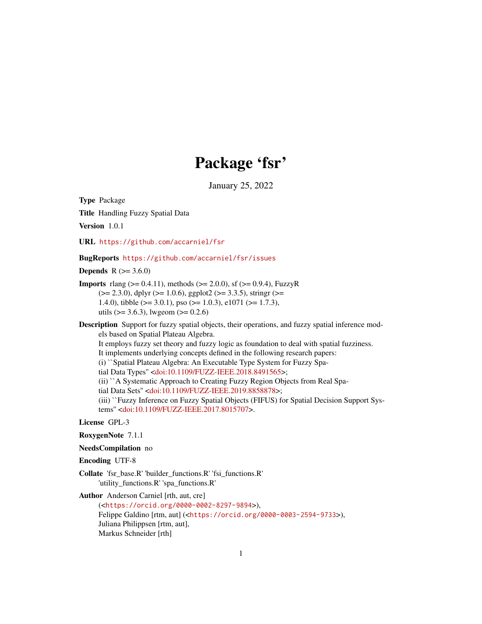# Package 'fsr'

January 25, 2022

<span id="page-0-0"></span>Type Package

Title Handling Fuzzy Spatial Data

Version 1.0.1

URL <https://github.com/accarniel/fsr>

BugReports <https://github.com/accarniel/fsr/issues>

**Depends**  $R$  ( $> = 3.6.0$ )

**Imports** rlang ( $> = 0.4.11$ ), methods ( $> = 2.0.0$ ), sf ( $> = 0.9.4$ ), FuzzyR  $(>= 2.3.0)$ , dplyr  $(>= 1.0.6)$ , ggplot2  $(>= 3.3.5)$ , stringr  $(>= 1.0.6)$ 1.4.0), tibble (>= 3.0.1), pso (>= 1.0.3), e1071 (>= 1.7.3), utils ( $> = 3.6.3$ ), lwgeom ( $>= 0.2.6$ )

Description Support for fuzzy spatial objects, their operations, and fuzzy spatial inference models based on Spatial Plateau Algebra.

It employs fuzzy set theory and fuzzy logic as foundation to deal with spatial fuzziness.

It implements underlying concepts defined in the following research papers:

(i) ``Spatial Plateau Algebra: An Executable Type System for Fuzzy Spa-

tial Data Types'' [<doi:10.1109/FUZZ-IEEE.2018.8491565>](https://doi.org/10.1109/FUZZ-IEEE.2018.8491565);

(ii) ``A Systematic Approach to Creating Fuzzy Region Objects from Real Spa-

tial Data Sets'' [<doi:10.1109/FUZZ-IEEE.2019.8858878>](https://doi.org/10.1109/FUZZ-IEEE.2019.8858878);

(iii) ``Fuzzy Inference on Fuzzy Spatial Objects (FIFUS) for Spatial Decision Support Systems'' [<doi:10.1109/FUZZ-IEEE.2017.8015707>](https://doi.org/10.1109/FUZZ-IEEE.2017.8015707).

# License GPL-3

- RoxygenNote 7.1.1
- NeedsCompilation no

Encoding UTF-8

Collate 'fsr\_base.R' 'builder\_functions.R' 'fsi\_functions.R' 'utility\_functions.R' 'spa\_functions.R'

Author Anderson Carniel [rth, aut, cre]

(<<https://orcid.org/0000-0002-8297-9894>>), Felippe Galdino [rtm, aut] (<<https://orcid.org/0000-0003-2594-9733>>), Juliana Philippsen [rtm, aut], Markus Schneider [rth]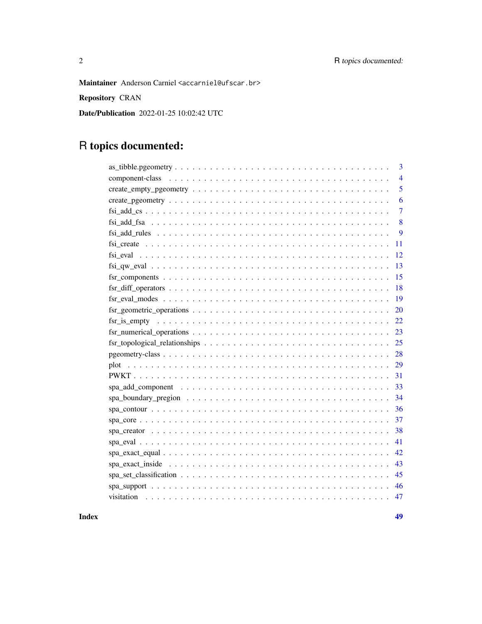Maintainer Anderson Carniel <accarniel@ufscar.br>

Repository CRAN

Date/Publication 2022-01-25 10:02:42 UTC

# R topics documented:

| 3                                                                                                                        |
|--------------------------------------------------------------------------------------------------------------------------|
| $\overline{4}$                                                                                                           |
| 5                                                                                                                        |
| 6                                                                                                                        |
| $\overline{7}$                                                                                                           |
| 8                                                                                                                        |
| 9                                                                                                                        |
| 11                                                                                                                       |
| 12                                                                                                                       |
| 13                                                                                                                       |
| 15                                                                                                                       |
| 18                                                                                                                       |
| 19<br>$fsr\_eval\_modes \dots \dots \dots \dots \dots \dots \dots \dots \dots \dots \dots \dots \dots \dots \dots \dots$ |
| 20                                                                                                                       |
| 22                                                                                                                       |
| 23                                                                                                                       |
| 25                                                                                                                       |
| 28                                                                                                                       |
| 29                                                                                                                       |
| 31                                                                                                                       |
| 33                                                                                                                       |
| 34                                                                                                                       |
| 36                                                                                                                       |
| 37                                                                                                                       |
| 38                                                                                                                       |
| 41                                                                                                                       |
| 42                                                                                                                       |
| 43                                                                                                                       |
| 45                                                                                                                       |
| 46                                                                                                                       |
| 47                                                                                                                       |

**Index a** set of the contract of the contract of the contract of the contract of the contract of the contract of the contract of the contract of the contract of the contract of the contract of the contract of the contrac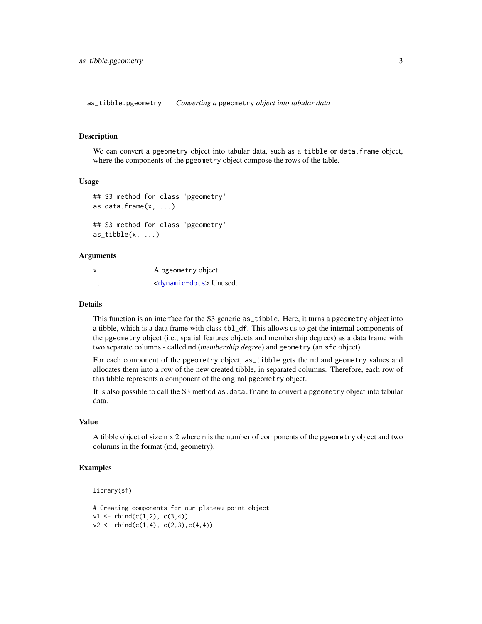<span id="page-2-0"></span>as\_tibble.pgeometry *Converting a* pgeometry *object into tabular data*

#### **Description**

We can convert a pgeometry object into tabular data, such as a tibble or data. frame object, where the components of the pgeometry object compose the rows of the table.

### Usage

```
## S3 method for class 'pgeometry'
as.data.frame(x, ...)
## S3 method for class 'pgeometry'
as\_tible(x, \ldots)
```
### Arguments

| X | A pgeometry object.                  |
|---|--------------------------------------|
| . | <dynamic-dots>Unused.</dynamic-dots> |

# Details

This function is an interface for the S3 generic as\_tibble. Here, it turns a pgeometry object into a tibble, which is a data frame with class tbl\_df. This allows us to get the internal components of the pgeometry object (i.e., spatial features objects and membership degrees) as a data frame with two separate columns - called md (*membership degree*) and geometry (an sfc object).

For each component of the pgeometry object, as\_tibble gets the md and geometry values and allocates them into a row of the new created tibble, in separated columns. Therefore, each row of this tibble represents a component of the original pgeometry object.

It is also possible to call the S3 method as.data.frame to convert a pgeometry object into tabular data.

### Value

A tibble object of size n x 2 where n is the number of components of the pgeometry object and two columns in the format (md, geometry).

```
library(sf)
```

```
# Creating components for our plateau point object
v1 \le - rbind(c(1,2), c(3,4))
v2 \le r \text{bind}(c(1,4), c(2,3), c(4,4))
```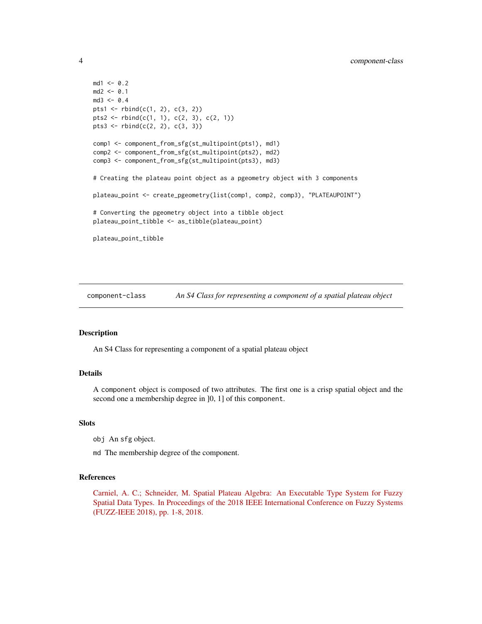```
md1 <- 0.2
md2 < -0.1md3 < -0.4pts1 <- rbind(c(1, 2), c(3, 2))pts2 <- rbind(c(1, 1), c(2, 3), c(2, 1))pts3 \leftarrow \text{rbind}(c(2, 2), c(3, 3))comp1 <- component_from_sfg(st_multipoint(pts1), md1)
comp2 <- component_from_sfg(st_multipoint(pts2), md2)
comp3 <- component_from_sfg(st_multipoint(pts3), md3)
# Creating the plateau point object as a pgeometry object with 3 components
plateau_point <- create_pgeometry(list(comp1, comp2, comp3), "PLATEAUPOINT")
# Converting the pgeometry object into a tibble object
plateau_point_tibble <- as_tibble(plateau_point)
plateau_point_tibble
```
component-class *An S4 Class for representing a component of a spatial plateau object*

# Description

An S4 Class for representing a component of a spatial plateau object

# Details

A component object is composed of two attributes. The first one is a crisp spatial object and the second one a membership degree in  $]0, 1]$  of this component.

#### **Slots**

- obj An sfg object.
- md The membership degree of the component.

# References

[Carniel, A. C.; Schneider, M. Spatial Plateau Algebra: An Executable Type System for Fuzzy](https://ieeexplore.ieee.org/document/8491565) [Spatial Data Types. In Proceedings of the 2018 IEEE International Conference on Fuzzy Systems](https://ieeexplore.ieee.org/document/8491565) [\(FUZZ-IEEE 2018\), pp. 1-8, 2018.](https://ieeexplore.ieee.org/document/8491565)

<span id="page-3-0"></span>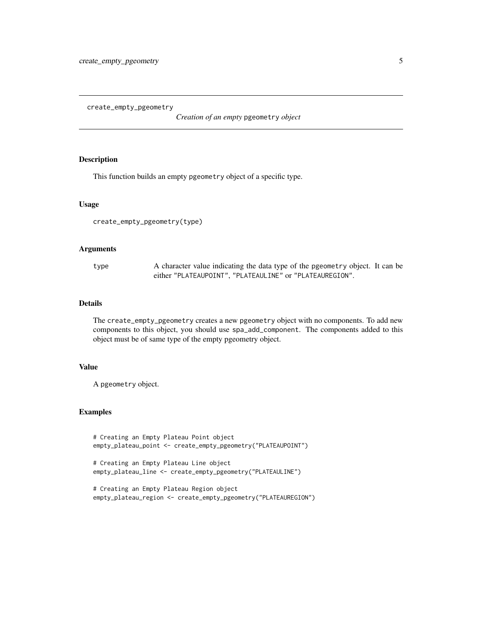<span id="page-4-0"></span>create\_empty\_pgeometry

*Creation of an empty* pgeometry *object*

# Description

This function builds an empty pgeometry object of a specific type.

# Usage

create\_empty\_pgeometry(type)

### Arguments

type A character value indicating the data type of the pgeometry object. It can be either "PLATEAUPOINT", "PLATEAULINE" or "PLATEAUREGION".

# Details

The create\_empty\_pgeometry creates a new pgeometry object with no components. To add new components to this object, you should use spa\_add\_component. The components added to this object must be of same type of the empty pgeometry object.

# Value

A pgeometry object.

```
# Creating an Empty Plateau Point object
empty_plateau_point <- create_empty_pgeometry("PLATEAUPOINT")
# Creating an Empty Plateau Line object
empty_plateau_line <- create_empty_pgeometry("PLATEAULINE")
# Creating an Empty Plateau Region object
empty_plateau_region <- create_empty_pgeometry("PLATEAUREGION")
```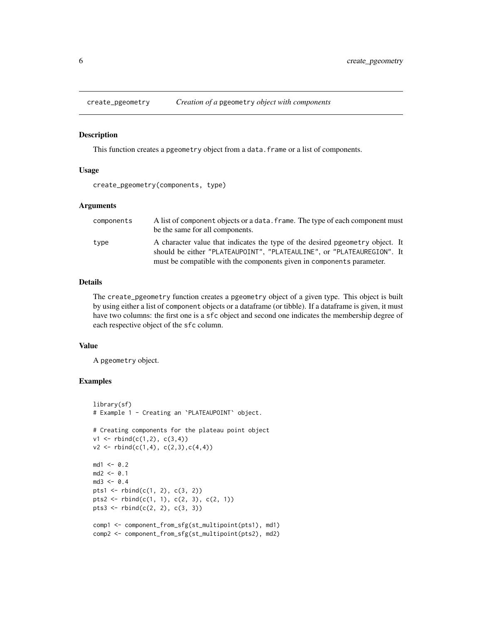<span id="page-5-0"></span>

### Description

This function creates a pgeometry object from a data. frame or a list of components.

### Usage

```
create_pgeometry(components, type)
```
### Arguments

| components | A list of component objects or a data, frame. The type of each component must<br>be the same for all components.                                         |
|------------|----------------------------------------------------------------------------------------------------------------------------------------------------------|
| type       | A character value that indicates the type of the desired present ty object. It<br>should be either "PLATEAUPOINT", "PLATEAULINE", or "PLATEAUREGION". It |
|            | must be compatible with the components given in components parameter.                                                                                    |

# Details

The create\_pgeometry function creates a pgeometry object of a given type. This object is built by using either a list of component objects or a dataframe (or tibble). If a dataframe is given, it must have two columns: the first one is a sfc object and second one indicates the membership degree of each respective object of the sfc column.

### Value

A pgeometry object.

```
library(sf)
# Example 1 - Creating an `PLATEAUPOINT` object.
# Creating components for the plateau point object
v1 \le r \text{bind}(c(1,2), c(3,4))v2 \le r \text{bind}(c(1,4), c(2,3), c(4,4))md1 <- 0.2
md2 < -0.1md3 < -0.4pts1 <- rbind(c(1, 2), c(3, 2))pts2 <- rbind(c(1, 1), c(2, 3), c(2, 1))
pts3 <- rbind(c(2, 2), c(3, 3))comp1 <- component_from_sfg(st_multipoint(pts1), md1)
comp2 <- component_from_sfg(st_multipoint(pts2), md2)
```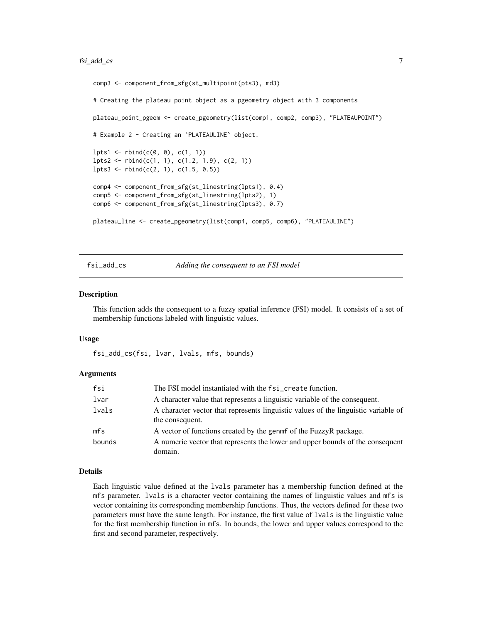# <span id="page-6-0"></span>fsi\_add\_cs 7

```
comp3 <- component_from_sfg(st_multipoint(pts3), md3)
# Creating the plateau point object as a pgeometry object with 3 components
plateau_point_pgeom <- create_pgeometry(list(comp1, comp2, comp3), "PLATEAUPOINT")
# Example 2 - Creating an `PLATEAULINE` object.
lpts1 \leftarrow \text{rbind}(c(0, 0), c(1, 1))lpts2 \leftarrow rbind(c(1, 1), c(1.2, 1.9), c(2, 1))lpts3 \leftarrow \text{rbind}(c(2, 1), c(1.5, 0.5))comp4 <- component_from_sfg(st_linestring(lpts1), 0.4)
comp5 <- component_from_sfg(st_linestring(lpts2), 1)
comp6 <- component_from_sfg(st_linestring(lpts3), 0.7)
plateau_line <- create_pgeometry(list(comp4, comp5, comp6), "PLATEAULINE")
```
### fsi\_add\_cs *Adding the consequent to an FSI model*

#### Description

This function adds the consequent to a fuzzy spatial inference (FSI) model. It consists of a set of membership functions labeled with linguistic values.

### Usage

fsi\_add\_cs(fsi, lvar, lvals, mfs, bounds)

### Arguments

| fsi    | The FSI model instantiated with the fsi_create function.                                              |
|--------|-------------------------------------------------------------------------------------------------------|
| lvar   | A character value that represents a linguistic variable of the consequent.                            |
| lvals  | A character vector that represents linguistic values of the linguistic variable of<br>the consequent. |
| mfs    | A vector of functions created by the genment of the FuzzyR package.                                   |
| bounds | A numeric vector that represents the lower and upper bounds of the consequent<br>domain.              |

### Details

Each linguistic value defined at the lvals parameter has a membership function defined at the mfs parameter. lvals is a character vector containing the names of linguistic values and mfs is vector containing its corresponding membership functions. Thus, the vectors defined for these two parameters must have the same length. For instance, the first value of lvals is the linguistic value for the first membership function in mfs. In bounds, the lower and upper values correspond to the first and second parameter, respectively.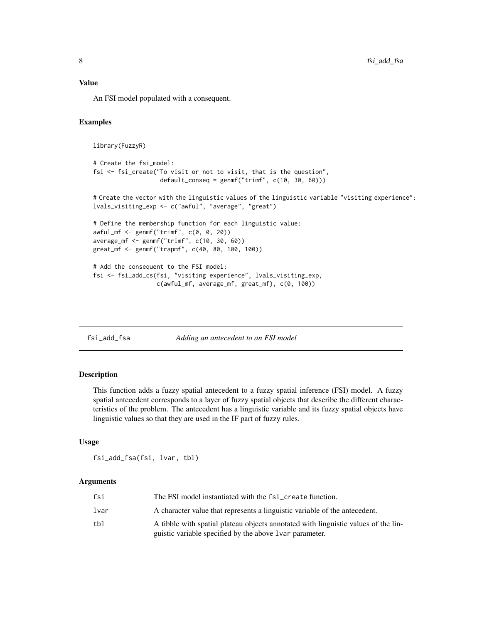# <span id="page-7-0"></span>Value

An FSI model populated with a consequent.

# Examples

```
library(FuzzyR)
```

```
# Create the fsi_model:
fsi <- fsi_create("To visit or not to visit, that is the question",
                  default_conseq = genmf("trimf", c(10, 30, 60)))
```
# Create the vector with the linguistic values of the linguistic variable "visiting experience": lvals\_visiting\_exp <- c("awful", "average", "great")

```
# Define the membership function for each linguistic value:
awful_mf <- genmf("trimf", c(0, 0, 20))
average_mf <- genmf("trimf", c(10, 30, 60))
great_mf <- genmf("trapmf", c(40, 80, 100, 100))
```

```
# Add the consequent to the FSI model:
fsi <- fsi_add_cs(fsi, "visiting experience", lvals_visiting_exp,
                 c(awful_mf, average_mf, great_mf), c(0, 100))
```
fsi\_add\_fsa *Adding an antecedent to an FSI model*

### Description

This function adds a fuzzy spatial antecedent to a fuzzy spatial inference (FSI) model. A fuzzy spatial antecedent corresponds to a layer of fuzzy spatial objects that describe the different characteristics of the problem. The antecedent has a linguistic variable and its fuzzy spatial objects have linguistic values so that they are used in the IF part of fuzzy rules.

### Usage

fsi\_add\_fsa(fsi, lvar, tbl)

# Arguments

| fsi  | The FSI model instantiated with the fsi_create function.                           |
|------|------------------------------------------------------------------------------------|
| lvar | A character value that represents a linguistic variable of the antecedent.         |
| tbl  | A tibble with spatial plateau objects annotated with linguistic values of the lin- |
|      | guistic variable specified by the above 1 var parameter.                           |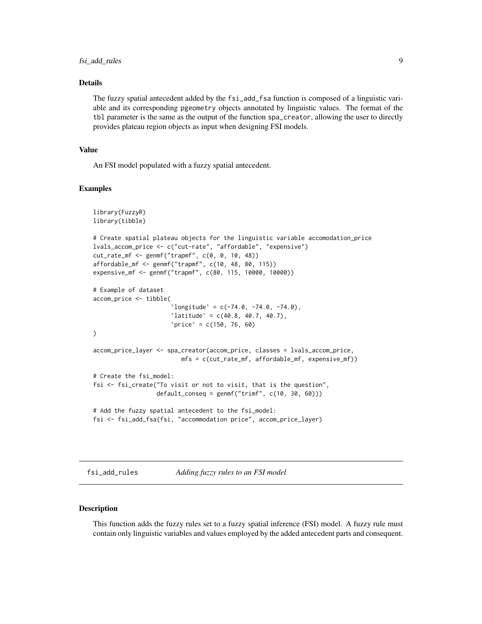# <span id="page-8-0"></span>Details

The fuzzy spatial antecedent added by the fsi\_add\_fsa function is composed of a linguistic variable and its corresponding pgeometry objects annotated by linguistic values. The format of the tbl parameter is the same as the output of the function spa\_creator, allowing the user to directly provides plateau region objects as input when designing FSI models.

### Value

An FSI model populated with a fuzzy spatial antecedent.

#### Examples

```
library(FuzzyR)
library(tibble)
# Create spatial plateau objects for the linguistic variable accomodation_price
lvals_accom_price <- c("cut-rate", "affordable", "expensive")
cut_rate_mf <- genmf("trapmf", c(0, 0, 10, 48))
affordable_mf <- genmf("trapmf", c(10, 48, 80, 115))
expensive_mf <- genmf("trapmf", c(80, 115, 10000, 10000))
# Example of dataset
accom_price <- tibble(
                      'longitude' = c(-74.0, -74.0, -74.0),
                      'latitude' = c(40.8, 40.7, 40.7),
                      'price' = c(150, 76, 60))
accom_price_layer <- spa_creator(accom_price, classes = lvals_accom_price,
                        mfs = c(cut_rate_mf, affordable_mf, expensive_mf))
# Create the fsi_model:
fsi <- fsi_create("To visit or not to visit, that is the question",
                  default\_conseq = gemmf("trimf", c(10, 30, 60)))# Add the fuzzy spatial antecedent to the fsi_model:
fsi <- fsi_add_fsa(fsi, "accommodation price", accom_price_layer)
```
fsi\_add\_rules *Adding fuzzy rules to an FSI model*

### Description

This function adds the fuzzy rules set to a fuzzy spatial inference (FSI) model. A fuzzy rule must contain only linguistic variables and values employed by the added antecedent parts and consequent.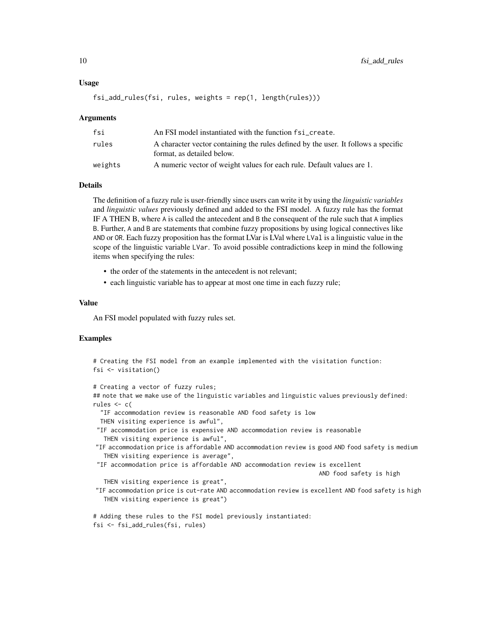### Usage

```
fsi_add_rules(fsi, rules, weights = rep(1, length(rules)))
```
#### Arguments

| fsi     | An FSI model instantiated with the function fsi_create.                                                          |
|---------|------------------------------------------------------------------------------------------------------------------|
| rules   | A character vector containing the rules defined by the user. It follows a specific<br>format, as detailed below. |
| weights | A numeric vector of weight values for each rule. Default values are 1.                                           |

### Details

The definition of a fuzzy rule is user-friendly since users can write it by using the *linguistic variables* and *linguistic values* previously defined and added to the FSI model. A fuzzy rule has the format IF A THEN B, where A is called the antecedent and B the consequent of the rule such that A implies B. Further, A and B are statements that combine fuzzy propositions by using logical connectives like AND or OR. Each fuzzy proposition has the format LVar is LVal where LVal is a linguistic value in the scope of the linguistic variable LVar. To avoid possible contradictions keep in mind the following items when specifying the rules:

- the order of the statements in the antecedent is not relevant;
- each linguistic variable has to appear at most one time in each fuzzy rule;

### Value

An FSI model populated with fuzzy rules set.

```
# Creating the FSI model from an example implemented with the visitation function:
fsi <- visitation()
# Creating a vector of fuzzy rules;
## note that we make use of the linguistic variables and linguistic values previously defined:
rules <- c(
 "IF accommodation review is reasonable AND food safety is low
 THEN visiting experience is awful",
 "IF accommodation price is expensive AND accommodation review is reasonable
  THEN visiting experience is awful",
"IF accommodation price is affordable AND accommodation review is good AND food safety is medium
  THEN visiting experience is average",
 "IF accommodation price is affordable AND accommodation review is excellent
                                                                 AND food safety is high
  THEN visiting experience is great",
"IF accommodation price is cut-rate AND accommodation review is excellent AND food safety is high
  THEN visiting experience is great")
# Adding these rules to the FSI model previously instantiated:
fsi <- fsi_add_rules(fsi, rules)
```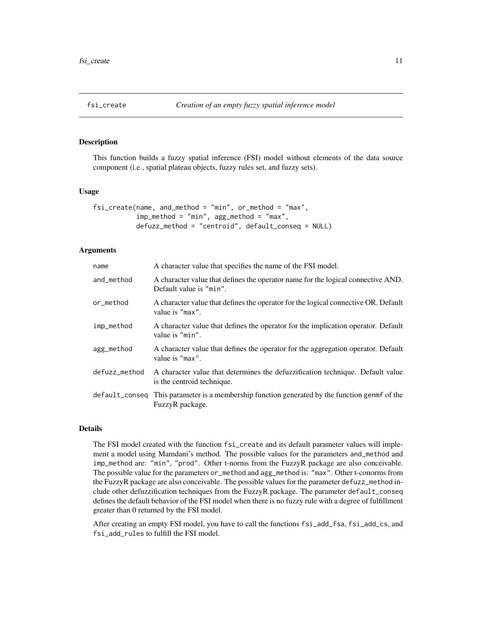<span id="page-10-0"></span>

# **Description**

This function builds a fuzzy spatial inference (FSI) model without elements of the data source component (i.e., spatial plateau objects, fuzzy rules set, and fuzzy sets).

### Usage

```
fsi_create(name, and_method = "min", or_method = "max",
           imp_method = "min", agg_method = "max",
           defuzz_method = "centroid", default_conseq = NULL)
```
# **Arguments**

| name           | A character value that specifies the name of the FSI model.                                                  |
|----------------|--------------------------------------------------------------------------------------------------------------|
| and_method     | A character value that defines the operator name for the logical connective AND.<br>Default value is "min".  |
| or_method      | A character value that defines the operator for the logical connective OR. Default<br>value is "max".        |
| imp_method     | A character value that defines the operator for the implication operator. Default<br>value is "min".         |
| agg_method     | A character value that defines the operator for the aggregation operator. Default<br>value is "max".         |
| defuzz_method  | A character value that determines the defuzzification technique. Default value<br>is the centroid technique. |
| default_conseq | This parameter is a membership function generated by the function genment of the<br>FuzzyR package.          |

# Details

The FSI model created with the function fsi\_create and its default parameter values will implement a model using Mamdani's method. The possible values for the parameters and\_method and imp\_method are: "min", "prod". Other t-norms from the FuzzyR package are also conceivable. The possible value for the parameters or\_method and agg\_method is: "max". Other t-conorms from the FuzzyR package are also conceivable. The possible values for the parameter defuzz\_method include other defuzzification techniques from the FuzzyR package. The parameter default\_conseq defines the default behavior of the FSI model when there is no fuzzy rule with a degree of fulfillment greater than 0 returned by the FSI model.

After creating an empty FSI model, you have to call the functions fsi\_add\_fsa, fsi\_add\_cs, and fsi\_add\_rules to fulfill the FSI model.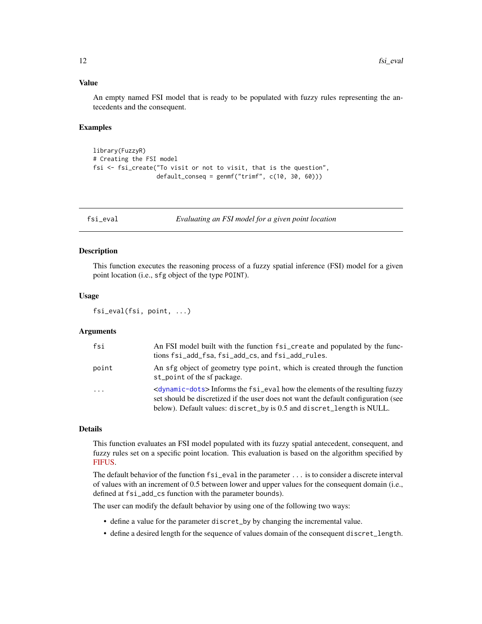# <span id="page-11-0"></span>Value

An empty named FSI model that is ready to be populated with fuzzy rules representing the antecedents and the consequent.

### Examples

```
library(FuzzyR)
# Creating the FSI model
fsi <- fsi_create("To visit or not to visit, that is the question",
                  default_conseq = genmf("trimf", c(10, 30, 60)))
```
fsi\_eval *Evaluating an FSI model for a given point location*

### Description

This function executes the reasoning process of a fuzzy spatial inference (FSI) model for a given point location (i.e., sfg object of the type POINT).

### Usage

fsi\_eval(fsi, point, ...)

### Arguments

| fsi      | An FSI model built with the function fsi_create and populated by the func-                                                                                                                                                                                 |
|----------|------------------------------------------------------------------------------------------------------------------------------------------------------------------------------------------------------------------------------------------------------------|
|          | tions fsi_add_fsa, fsi_add_cs, and fsi_add_rules.                                                                                                                                                                                                          |
| point    | An sfg object of geometry type point, which is created through the function<br>st_point of the sf package.                                                                                                                                                 |
| $\cdots$ | <dynamic-dots>Informs the fsi_eval how the elements of the resulting fuzzy<br/>set should be discretized if the user does not want the default configuration (see<br/>below). Default values: discret_by is 0.5 and discret_length is NULL.</dynamic-dots> |

# Details

This function evaluates an FSI model populated with its fuzzy spatial antecedent, consequent, and fuzzy rules set on a specific point location. This evaluation is based on the algorithm specified by [FIFUS.](https://ieeexplore.ieee.org/document/8015707)

The default behavior of the function fsi\_eval in the parameter ... is to consider a discrete interval of values with an increment of 0.5 between lower and upper values for the consequent domain (i.e., defined at fsi\_add\_cs function with the parameter bounds).

The user can modify the default behavior by using one of the following two ways:

- define a value for the parameter discret\_by by changing the incremental value.
- define a desired length for the sequence of values domain of the consequent discret\_length.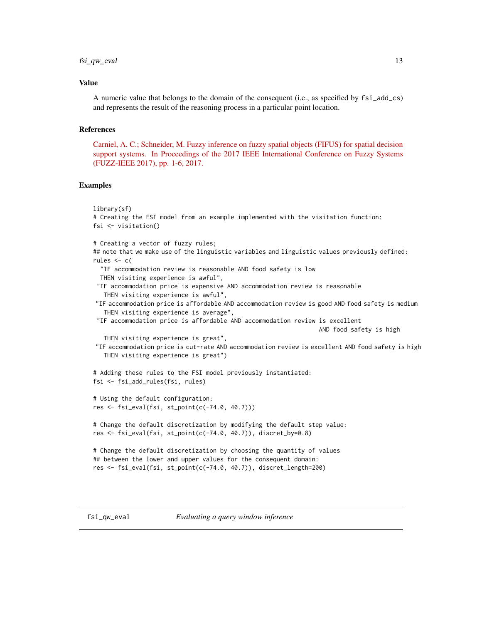### <span id="page-12-0"></span>fsi\_qw\_eval 13

### Value

A numeric value that belongs to the domain of the consequent (i.e., as specified by fsi\_add\_cs) and represents the result of the reasoning process in a particular point location.

# References

[Carniel, A. C.; Schneider, M. Fuzzy inference on fuzzy spatial objects \(FIFUS\) for spatial decision](https://ieeexplore.ieee.org/document/8015707) [support systems. In Proceedings of the 2017 IEEE International Conference on Fuzzy Systems](https://ieeexplore.ieee.org/document/8015707) [\(FUZZ-IEEE 2017\), pp. 1-6, 2017.](https://ieeexplore.ieee.org/document/8015707)

```
library(sf)
# Creating the FSI model from an example implemented with the visitation function:
fsi <- visitation()
# Creating a vector of fuzzy rules;
## note that we make use of the linguistic variables and linguistic values previously defined:
rules <-c("IF accommodation review is reasonable AND food safety is low
  THEN visiting experience is awful",
 "IF accommodation price is expensive AND accommodation review is reasonable
   THEN visiting experience is awful",
 "IF accommodation price is affordable AND accommodation review is good AND food safety is medium
   THEN visiting experience is average",
 "IF accommodation price is affordable AND accommodation review is excellent
                                                                 AND food safety is high
   THEN visiting experience is great",
"IF accommodation price is cut-rate AND accommodation review is excellent AND food safety is high
   THEN visiting experience is great")
# Adding these rules to the FSI model previously instantiated:
fsi <- fsi_add_rules(fsi, rules)
# Using the default configuration:
res <- fsi_eval(fsi, st_point(c(-74.0, 40.7)))
# Change the default discretization by modifying the default step value:
res <- fsi_eval(fsi, st_point(c(-74.0, 40.7)), discret_by=0.8)
# Change the default discretization by choosing the quantity of values
## between the lower and upper values for the consequent domain:
res <- fsi_eval(fsi, st_point(c(-74.0, 40.7)), discret_length=200)
```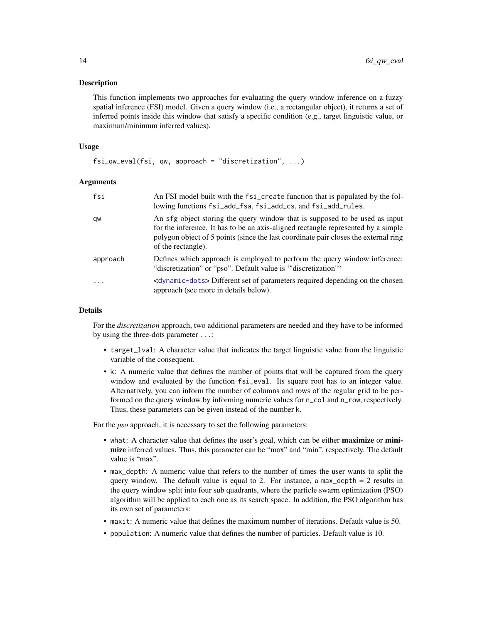### Description

This function implements two approaches for evaluating the query window inference on a fuzzy spatial inference (FSI) model. Given a query window (i.e., a rectangular object), it returns a set of inferred points inside this window that satisfy a specific condition (e.g., target linguistic value, or maximum/minimum inferred values).

# Usage

```
fsi_qw_eval(fsi, qw, approach = "discretization", ...)
```
# Arguments

| fsi                     | An FSI model built with the fsi_create function that is populated by the fol-<br>lowing functions fsi_add_fsa, fsi_add_cs, and fsi_add_rules.                                                                                                                                 |
|-------------------------|-------------------------------------------------------------------------------------------------------------------------------------------------------------------------------------------------------------------------------------------------------------------------------|
| qw                      | An sfg object storing the query window that is supposed to be used as input<br>for the inference. It has to be an axis-aligned rectangle represented by a simple<br>polygon object of 5 points (since the last coordinate pair closes the external ring<br>of the rectangle). |
| approach                | Defines which approach is employed to perform the query window inference:<br>"discretization" or "pso". Default value is "discretization""                                                                                                                                    |
| $\cdot$ $\cdot$ $\cdot$ | <dynamic-dots> Different set of parameters required depending on the chosen<br/>approach (see more in details below).</dynamic-dots>                                                                                                                                          |

### Details

For the *discretization* approach, two additional parameters are needed and they have to be informed by using the three-dots parameter ...:

- target\_lval: A character value that indicates the target linguistic value from the linguistic variable of the consequent.
- k: A numeric value that defines the number of points that will be captured from the query window and evaluated by the function fsi\_eval. Its square root has to an integer value. Alternatively, you can inform the number of columns and rows of the regular grid to be performed on the query window by informing numeric values for n\_col and n\_row, respectively. Thus, these parameters can be given instead of the number k.

For the *pso* approach, it is necessary to set the following parameters:

- what: A character value that defines the user's goal, which can be either **maximize** or **mini**mize inferred values. Thus, this parameter can be "max" and "min", respectively. The default value is "max".
- max\_depth: A numeric value that refers to the number of times the user wants to split the query window. The default value is equal to 2. For instance, a max\_depth  $= 2$  results in the query window split into four sub quadrants, where the particle swarm optimization (PSO) algorithm will be applied to each one as its search space. In addition, the PSO algorithm has its own set of parameters:
- maxit: A numeric value that defines the maximum number of iterations. Default value is 50.
- population: A numeric value that defines the number of particles. Default value is 10.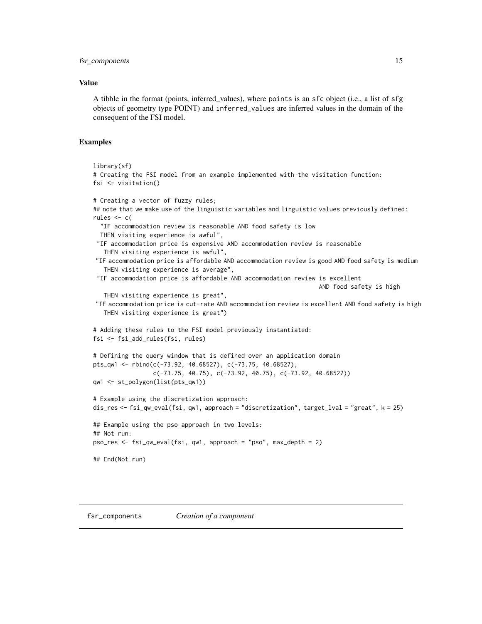### <span id="page-14-0"></span>fsr\_components 15

# Value

A tibble in the format (points, inferred\_values), where points is an sfc object (i.e., a list of sfg objects of geometry type POINT) and inferred\_values are inferred values in the domain of the consequent of the FSI model.

# Examples

```
library(sf)
# Creating the FSI model from an example implemented with the visitation function:
fsi <- visitation()
# Creating a vector of fuzzy rules;
## note that we make use of the linguistic variables and linguistic values previously defined:
rules <-c("IF accommodation review is reasonable AND food safety is low
 THEN visiting experience is awful",
 "IF accommodation price is expensive AND accommodation review is reasonable
   THEN visiting experience is awful",
 "IF accommodation price is affordable AND accommodation review is good AND food safety is medium
   THEN visiting experience is average",
 "IF accommodation price is affordable AND accommodation review is excellent
                                                                 AND food safety is high
   THEN visiting experience is great",
 "IF accommodation price is cut-rate AND accommodation review is excellent AND food safety is high
   THEN visiting experience is great")
# Adding these rules to the FSI model previously instantiated:
fsi <- fsi_add_rules(fsi, rules)
# Defining the query window that is defined over an application domain
pts_qw1 <- rbind(c(-73.92, 40.68527), c(-73.75, 40.68527),
                 c(-73.75, 40.75), c(-73.92, 40.75), c(-73.92, 40.68527))
qw1 <- st_polygon(list(pts_qw1))
# Example using the discretization approach:
dis_res <- fsi_qw_eval(fsi, qw1, approach = "discretization", target_lval = "great", k = 25)
## Example using the pso approach in two levels:
## Not run:
pso_res <- fsi_qw_eval(fsi, qw1, approach = "pso", max_depth = 2)
## End(Not run)
```
fsr\_components *Creation of a component*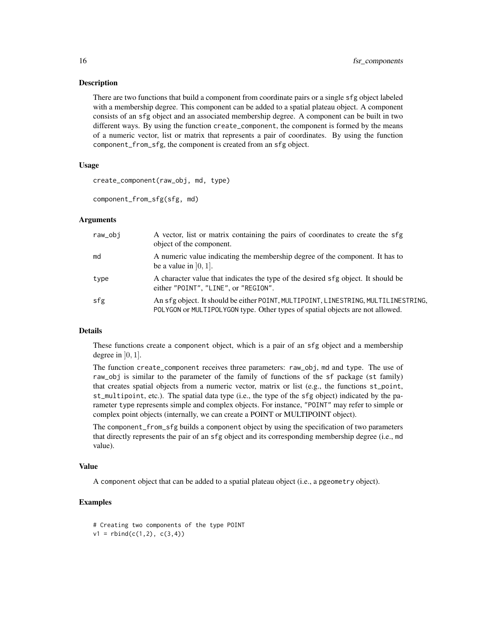### Description

There are two functions that build a component from coordinate pairs or a single sfg object labeled with a membership degree. This component can be added to a spatial plateau object. A component consists of an sfg object and an associated membership degree. A component can be built in two different ways. By using the function create\_component, the component is formed by the means of a numeric vector, list or matrix that represents a pair of coordinates. By using the function component\_from\_sfg, the component is created from an sfg object.

### Usage

create\_component(raw\_obj, md, type)

component\_from\_sfg(sfg, md)

### Arguments

| raw_obi | A vector, list or matrix containing the pairs of coordinates to create the sfg<br>object of the component.                                                          |
|---------|---------------------------------------------------------------------------------------------------------------------------------------------------------------------|
| md      | A numeric value indicating the membership degree of the component. It has to<br>be a value in $[0, 1]$ .                                                            |
| type    | A character value that indicates the type of the desired sfg object. It should be<br>either "POINT", "LINE", or "REGION".                                           |
| sfg     | An sfg object. It should be either POINT, MULTIPOINT, LINESTRING, MULTILINESTRING,<br>POLYGON or MULTIPOLYGON type. Other types of spatial objects are not allowed. |

# Details

These functions create a component object, which is a pair of an sfg object and a membership degree in  $[0, 1]$ .

The function create\_component receives three parameters: raw\_obj, md and type. The use of raw\_obj is similar to the parameter of the family of functions of the sf package (st family) that creates spatial objects from a numeric vector, matrix or list (e.g., the functions st\_point, st\_multipoint, etc.). The spatial data type (i.e., the type of the sfg object) indicated by the parameter type represents simple and complex objects. For instance, "POINT" may refer to simple or complex point objects (internally, we can create a POINT or MULTIPOINT object).

The component\_from\_sfg builds a component object by using the specification of two parameters that directly represents the pair of an sfg object and its corresponding membership degree (i.e., md value).

### Value

A component object that can be added to a spatial plateau object (i.e., a pgeometry object).

```
# Creating two components of the type POINT
v1 = \text{rbind}(c(1,2), c(3,4))
```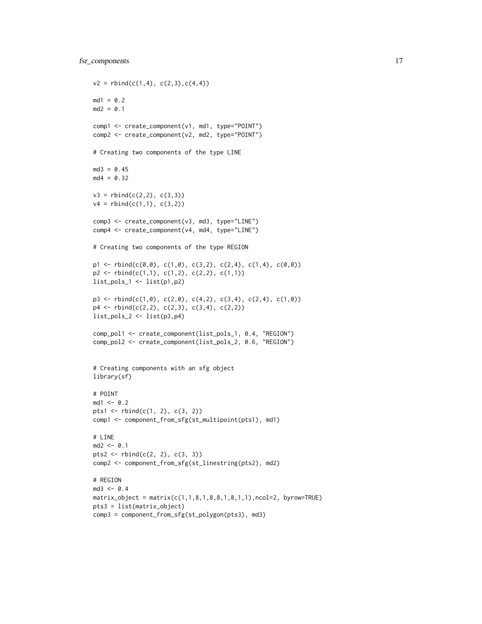```
v2 = \text{rbind}(c(1,4), c(2,3), c(4,4))md1 = 0.2md2 = 0.1comp1 <- create_component(v1, md1, type="POINT")
comp2 <- create_component(v2, md2, type="POINT")
# Creating two components of the type LINE
md3 = 0.45md4 = 0.32v3 = \text{rbind}(c(2,2), c(3,3))v4 = rbind(c(1,1), c(3,2))comp3 <- create_component(v3, md3, type="LINE")
comp4 <- create_component(v4, md4, type="LINE")
# Creating two components of the type REGION
p1 \le - \text{rbind}(c(0,0), c(1,0), c(3,2), c(2,4), c(1,4), c(0,0))p2 \leftarrow \text{rbind}(c(1,1), c(1,2), c(2,2), c(1,1))list_pols_1 <- list(p1,p2)
p3 \leq r \text{bind}(c(1,0), c(2,0), c(4,2), c(3,4), c(2,4), c(1,0))p4 \leftarrow \text{rbind}(c(2,2), c(2,3), c(3,4), c(2,2))list_pols_2 <- list(p3,p4)
comp_pol1 <- create_component(list_pols_1, 0.4, "REGION")
comp_pol2 <- create_component(list_pols_2, 0.6, "REGION")
# Creating components with an sfg object
library(sf)
# POINT
md1 <- 0.2
pts1 <- rbind(c(1, 2), c(3, 2))
comp1 <- component_from_sfg(st_multipoint(pts1), md1)
# LINE
md2 < -0.1pts2 <- rbind(c(2, 2), c(3, 3))
comp2 <- component_from_sfg(st_linestring(pts2), md2)
# REGION
md3 < -0.4matrix\_object = matrix(c(1, 1, 8, 1, 8, 8, 1, 8, 1, 1), ncol=2, by row=TRUE)pts3 = list(matrix_object)
comp3 = component_from_sfg(st_polygon(pts3), md3)
```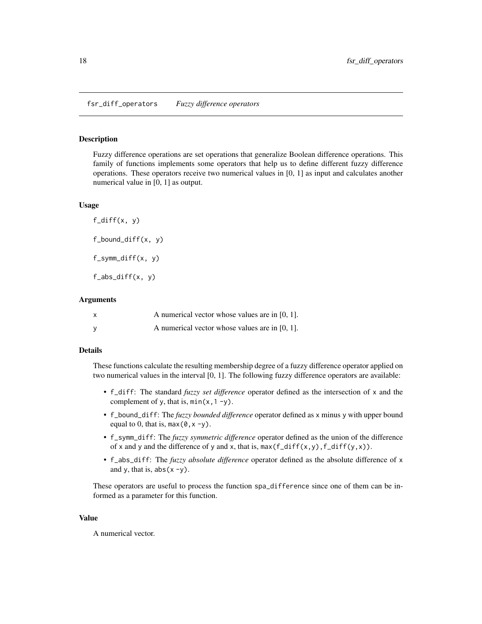### <span id="page-17-0"></span>Description

Fuzzy difference operations are set operations that generalize Boolean difference operations. This family of functions implements some operators that help us to define different fuzzy difference operations. These operators receive two numerical values in [0, 1] as input and calculates another numerical value in [0, 1] as output.

### Usage

 $f$ <sub>diff</sub> $(x, y)$ f\_bound\_diff(x, y) f\_symm\_diff(x, y)  $f_abs\_diff(x, y)$ 

### Arguments

| $\boldsymbol{\mathsf{x}}$ | A numerical vector whose values are in $[0, 1]$ . |
|---------------------------|---------------------------------------------------|
| <b>V</b>                  | A numerical vector whose values are in $[0, 1]$ . |

# Details

These functions calculate the resulting membership degree of a fuzzy difference operator applied on two numerical values in the interval [0, 1]. The following fuzzy difference operators are available:

- f\_diff: The standard *fuzzy set difference* operator defined as the intersection of x and the complement of y, that is,  $min(x, 1 - y)$ .
- f\_bound\_diff: The *fuzzy bounded difference* operator defined as x minus y with upper bound equal to 0, that is,  $max(0, x -y)$ .
- f\_symm\_diff: The *fuzzy symmetric difference* operator defined as the union of the difference of x and y and the difference of y and x, that is,  $max(f_diff(x,y), f_diff(y,x))$ .
- f\_abs\_diff: The *fuzzy absolute difference* operator defined as the absolute difference of x and y, that is,  $abs(x - y)$ .

These operators are useful to process the function spa\_difference since one of them can be informed as a parameter for this function.

### Value

A numerical vector.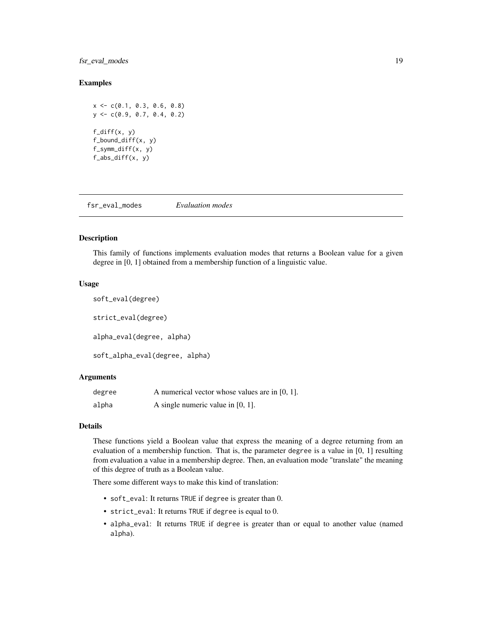# <span id="page-18-0"></span>fsr\_eval\_modes 19

### Examples

 $x \leq -c(0.1, 0.3, 0.6, 0.8)$ y <- c(0.9, 0.7, 0.4, 0.2) f\_diff(x, y) f\_bound\_diff(x, y) f\_symm\_diff(x, y) f\_abs\_diff(x, y)

fsr\_eval\_modes *Evaluation modes*

# Description

This family of functions implements evaluation modes that returns a Boolean value for a given degree in [0, 1] obtained from a membership function of a linguistic value.

#### Usage

```
soft_eval(degree)
strict_eval(degree)
alpha_eval(degree, alpha)
soft_alpha_eval(degree, alpha)
```
# Arguments

| degree | A numerical vector whose values are in $[0, 1]$ . |
|--------|---------------------------------------------------|
| alpha  | A single numeric value in $[0, 1]$ .              |

## Details

These functions yield a Boolean value that express the meaning of a degree returning from an evaluation of a membership function. That is, the parameter degree is a value in [0, 1] resulting from evaluation a value in a membership degree. Then, an evaluation mode "translate" the meaning of this degree of truth as a Boolean value.

There some different ways to make this kind of translation:

- soft\_eval: It returns TRUE if degree is greater than 0.
- strict\_eval: It returns TRUE if degree is equal to 0.
- alpha\_eval: It returns TRUE if degree is greater than or equal to another value (named alpha).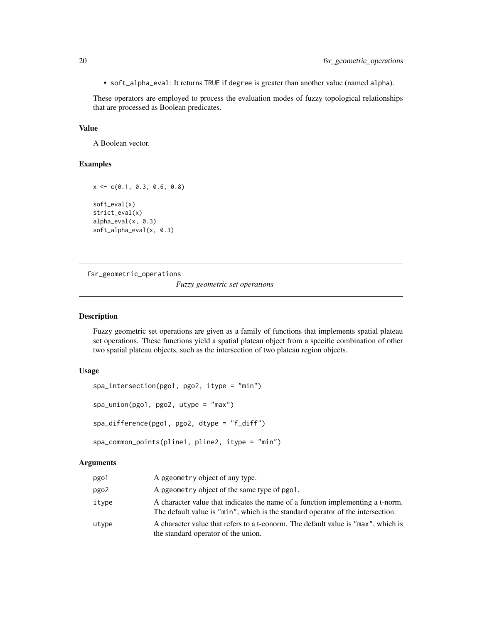<span id="page-19-0"></span>• soft\_alpha\_eval: It returns TRUE if degree is greater than another value (named alpha).

These operators are employed to process the evaluation modes of fuzzy topological relationships that are processed as Boolean predicates.

### Value

A Boolean vector.

# Examples

```
x \leq -c(0.1, 0.3, 0.6, 0.8)soft_eval(x)
strict_eval(x)
alpha_eval(x, 0.3)
soft_alpha_eval(x, 0.3)
```
fsr\_geometric\_operations *Fuzzy geometric set operations*

# Description

Fuzzy geometric set operations are given as a family of functions that implements spatial plateau set operations. These functions yield a spatial plateau object from a specific combination of other two spatial plateau objects, such as the intersection of two plateau region objects.

# Usage

```
spa_intersection(pgo1, pgo2, itype = "min")
spa_union(pgo1, pgo2, utype = "max")
spa_difference(pgo1, pgo2, dtype = "f_diff")
spa_common_points(pline1, pline2, itype = "min")
```
# Arguments

| pgo1  | A pgeometry object of any type.                                                                                                                                   |
|-------|-------------------------------------------------------------------------------------------------------------------------------------------------------------------|
| pgo2  | A pgeometry object of the same type of pgo1.                                                                                                                      |
| itype | A character value that indicates the name of a function implementing a t-norm.<br>The default value is "min", which is the standard operator of the intersection. |
| utype | A character value that refers to a t-conorm. The default value is "max", which is<br>the standard operator of the union.                                          |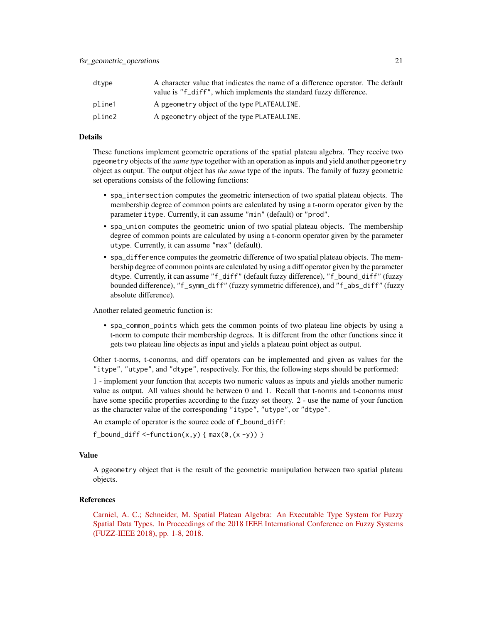| dtvpe  | A character value that indicates the name of a difference operator. The default<br>value is "f_diff", which implements the standard fuzzy difference. |
|--------|-------------------------------------------------------------------------------------------------------------------------------------------------------|
| pline1 | A pgeometry object of the type PLATEAULINE.                                                                                                           |
| pline2 | A pgeometry object of the type PLATEAULINE.                                                                                                           |

#### Details

These functions implement geometric operations of the spatial plateau algebra. They receive two pgeometry objects of the *same type* together with an operation as inputs and yield another pgeometry object as output. The output object has *the same* type of the inputs. The family of fuzzy geometric set operations consists of the following functions:

- spa\_intersection computes the geometric intersection of two spatial plateau objects. The membership degree of common points are calculated by using a t-norm operator given by the parameter itype. Currently, it can assume "min" (default) or "prod".
- spa\_union computes the geometric union of two spatial plateau objects. The membership degree of common points are calculated by using a t-conorm operator given by the parameter utype. Currently, it can assume "max" (default).
- spa\_difference computes the geometric difference of two spatial plateau objects. The membership degree of common points are calculated by using a diff operator given by the parameter dtype. Currently, it can assume "f\_diff" (default fuzzy difference), "f\_bound\_diff" (fuzzy bounded difference), "f\_symm\_diff" (fuzzy symmetric difference), and "f\_abs\_diff" (fuzzy absolute difference).

Another related geometric function is:

• spa\_common\_points which gets the common points of two plateau line objects by using a t-norm to compute their membership degrees. It is different from the other functions since it gets two plateau line objects as input and yields a plateau point object as output.

Other t-norms, t-conorms, and diff operators can be implemented and given as values for the "itype", "utype", and "dtype", respectively. For this, the following steps should be performed:

1 - implement your function that accepts two numeric values as inputs and yields another numeric value as output. All values should be between 0 and 1. Recall that t-norms and t-conorms must have some specific properties according to the fuzzy set theory. 2 - use the name of your function as the character value of the corresponding "itype", "utype", or "dtype".

An example of operator is the source code of f\_bound\_diff:

 $f_{bound\_diff} < -function(x,y) \{ max(0,(x-y)) \}$ 

### Value

A pgeometry object that is the result of the geometric manipulation between two spatial plateau objects.

# References

[Carniel, A. C.; Schneider, M. Spatial Plateau Algebra: An Executable Type System for Fuzzy](https://ieeexplore.ieee.org/document/8491565) [Spatial Data Types. In Proceedings of the 2018 IEEE International Conference on Fuzzy Systems](https://ieeexplore.ieee.org/document/8491565) [\(FUZZ-IEEE 2018\), pp. 1-8, 2018.](https://ieeexplore.ieee.org/document/8491565)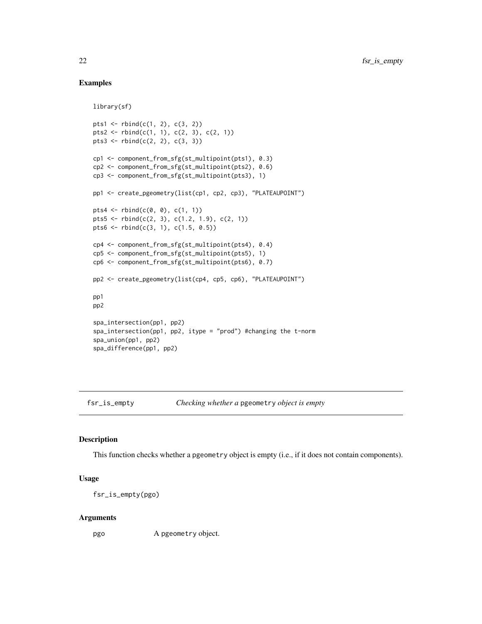# Examples

library(sf)

```
pts1 <- rbind(c(1, 2), c(3, 2))
pts2 <- rbind(c(1, 1), c(2, 3), c(2, 1))pts3 \leftarrow rbind(c(2, 2), c(3, 3))cp1 <- component_from_sfg(st_multipoint(pts1), 0.3)
cp2 <- component_from_sfg(st_multipoint(pts2), 0.6)
cp3 <- component_from_sfg(st_multipoint(pts3), 1)
pp1 <- create_pgeometry(list(cp1, cp2, cp3), "PLATEAUPOINT")
pts4 <- rbind(c(0, 0), c(1, 1))
pts5 <- rbind(c(2, 3), c(1.2, 1.9), c(2, 1))
pts6 <- rbind(c(3, 1), c(1.5, 0.5))
cp4 <- component_from_sfg(st_multipoint(pts4), 0.4)
cp5 <- component_from_sfg(st_multipoint(pts5), 1)
cp6 <- component_from_sfg(st_multipoint(pts6), 0.7)
pp2 <- create_pgeometry(list(cp4, cp5, cp6), "PLATEAUPOINT")
pp1
pp2
spa_intersection(pp1, pp2)
spa_intersection(pp1, pp2, itype = "prod") #changing the t-norm
spa_union(pp1, pp2)
spa_difference(pp1, pp2)
```
fsr\_is\_empty *Checking whether a* pgeometry *object is empty*

### Description

This function checks whether a pgeometry object is empty (i.e., if it does not contain components).

#### Usage

fsr\_is\_empty(pgo)

#### Arguments

pgo A pgeometry object.

<span id="page-21-0"></span>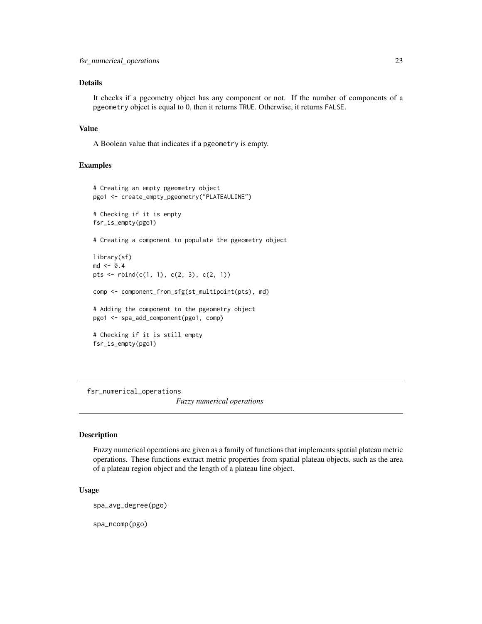# <span id="page-22-0"></span>Details

It checks if a pgeometry object has any component or not. If the number of components of a pgeometry object is equal to 0, then it returns TRUE. Otherwise, it returns FALSE.

### Value

A Boolean value that indicates if a pgeometry is empty.

# Examples

```
# Creating an empty pgeometry object
pgo1 <- create_empty_pgeometry("PLATEAULINE")
# Checking if it is empty
fsr_is_empty(pgo1)
# Creating a component to populate the pgeometry object
library(sf)
md < -0.4pts \le rbind(c(1, 1), c(2, 3), c(2, 1))
comp <- component_from_sfg(st_multipoint(pts), md)
# Adding the component to the pgeometry object
pgo1 <- spa_add_component(pgo1, comp)
# Checking if it is still empty
fsr_is_empty(pgo1)
```
fsr\_numerical\_operations *Fuzzy numerical operations*

# Description

Fuzzy numerical operations are given as a family of functions that implements spatial plateau metric operations. These functions extract metric properties from spatial plateau objects, such as the area of a plateau region object and the length of a plateau line object.

# Usage

spa\_avg\_degree(pgo)

spa\_ncomp(pgo)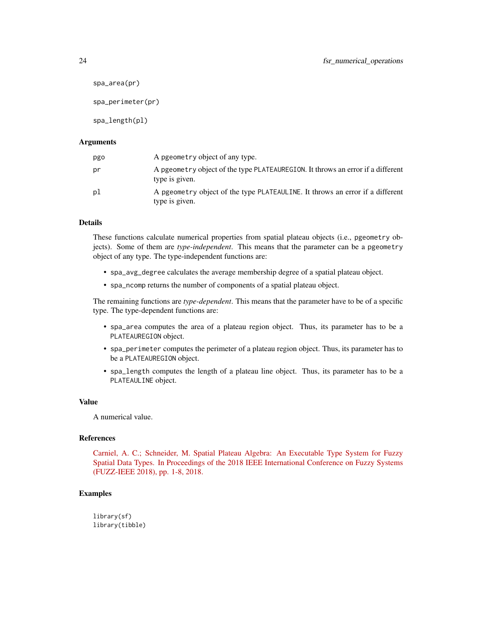```
spa_area(pr)
spa_perimeter(pr)
spa_length(pl)
```
### **Arguments**

| pgo | A pgeometry object of any type.                                                                   |
|-----|---------------------------------------------------------------------------------------------------|
| рr  | A pgeometry object of the type PLATEAUREGION. It throws an error if a different<br>type is given. |
| рl  | A pgeometry object of the type PLATEAULINE. It throws an error if a different<br>type is given.   |

# Details

These functions calculate numerical properties from spatial plateau objects (i.e., pgeometry objects). Some of them are *type-independent*. This means that the parameter can be a pgeometry object of any type. The type-independent functions are:

- spa\_avg\_degree calculates the average membership degree of a spatial plateau object.
- spa\_ncomp returns the number of components of a spatial plateau object.

The remaining functions are *type-dependent*. This means that the parameter have to be of a specific type. The type-dependent functions are:

- spa\_area computes the area of a plateau region object. Thus, its parameter has to be a PLATEAUREGION object.
- spa\_perimeter computes the perimeter of a plateau region object. Thus, its parameter has to be a PLATEAUREGION object.
- spa\_length computes the length of a plateau line object. Thus, its parameter has to be a PLATEAULINE object.

# Value

A numerical value.

# References

[Carniel, A. C.; Schneider, M. Spatial Plateau Algebra: An Executable Type System for Fuzzy](https://ieeexplore.ieee.org/document/8491565) [Spatial Data Types. In Proceedings of the 2018 IEEE International Conference on Fuzzy Systems](https://ieeexplore.ieee.org/document/8491565) [\(FUZZ-IEEE 2018\), pp. 1-8, 2018.](https://ieeexplore.ieee.org/document/8491565)

# Examples

library(sf) library(tibble)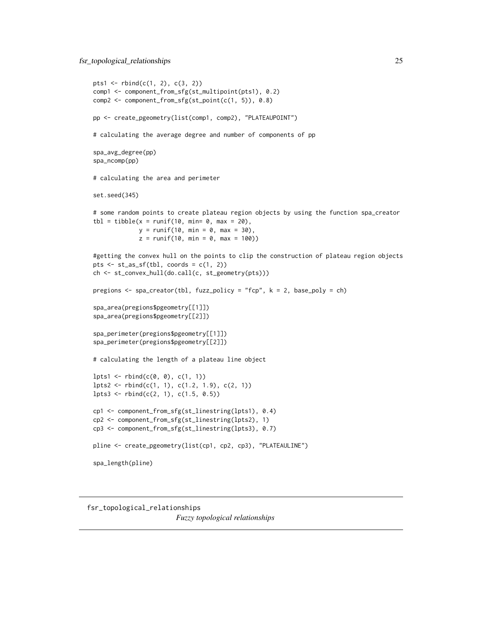<span id="page-24-0"></span>fsr\_topological\_relationships 25

```
pts1 <- rbind(c(1, 2), c(3, 2))comp1 <- component_from_sfg(st_multipoint(pts1), 0.2)
comp2 <- component_from_sfg(st_point(c(1, 5)), 0.8)
pp <- create_pgeometry(list(comp1, comp2), "PLATEAUPOINT")
# calculating the average degree and number of components of pp
spa_avg_degree(pp)
spa_ncomp(pp)
# calculating the area and perimeter
set.seed(345)
# some random points to create plateau region objects by using the function spa_creator
\text{thl} = \text{tible}(x = \text{runif}(10, \text{ min} = 0, \text{ max} = 20),y = runif(10, min = 0, max = 30),
             z = runif(10, min = 0, max = 100)#getting the convex hull on the points to clip the construction of plateau region objects
pts \le st_as_sf(tbl, coords = c(1, 2))
ch <- st_convex_hull(do.call(c, st_geometry(pts)))
pregions <- spa_creator(tbl, fuzz_policy = "fcp", k = 2, base_poly = ch)
spa_area(pregions$pgeometry[[1]])
spa_area(pregions$pgeometry[[2]])
spa_perimeter(pregions$pgeometry[[1]])
spa_perimeter(pregions$pgeometry[[2]])
# calculating the length of a plateau line object
lpts1 \leftarrow \text{rbind}(c(0, 0), c(1, 1))lpts2 <- rbind(c(1, 1), c(1.2, 1.9), c(2, 1))
lpts3 \leftarrow \text{rbind}(c(2, 1), c(1.5, 0.5))cp1 <- component_from_sfg(st_linestring(lpts1), 0.4)
cp2 <- component_from_sfg(st_linestring(lpts2), 1)
cp3 <- component_from_sfg(st_linestring(lpts3), 0.7)
pline <- create_pgeometry(list(cp1, cp2, cp3), "PLATEAULINE")
spa_length(pline)
```
fsr\_topological\_relationships *Fuzzy topological relationships*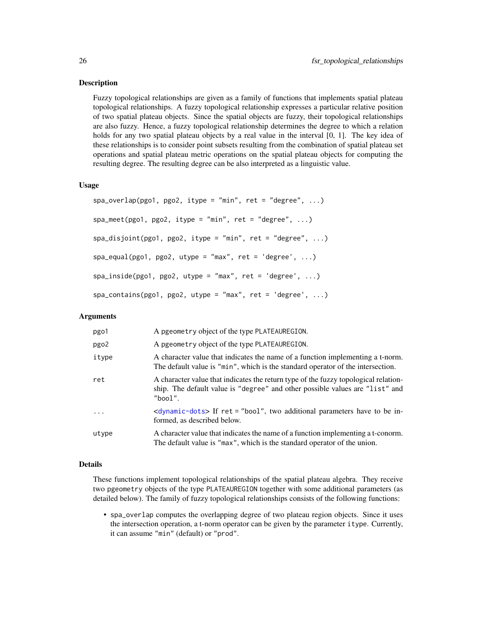### Description

Fuzzy topological relationships are given as a family of functions that implements spatial plateau topological relationships. A fuzzy topological relationship expresses a particular relative position of two spatial plateau objects. Since the spatial objects are fuzzy, their topological relationships are also fuzzy. Hence, a fuzzy topological relationship determines the degree to which a relation holds for any two spatial plateau objects by a real value in the interval [0, 1]. The key idea of these relationships is to consider point subsets resulting from the combination of spatial plateau set operations and spatial plateau metric operations on the spatial plateau objects for computing the resulting degree. The resulting degree can be also interpreted as a linguistic value.

# Usage

```
spa_overlap(pgo1, pgo2, itype = "min", ret = "degree", ...)spa_meet(pgo1, pgo2, itype = "min", ret = "degree", ...)spa\_disjoint(pgo1, pgo2, itype = "min", ret = "degree", ...)spa\_equal(pgo1, pgo2, utype = "max", ret = 'degree', ...)spa\_inside(pgo1, pgo2, utype = "max", ret = 'degree', ...)spa_{\text{const}}(pgo1, pgo2, utype = "max", ret = 'degree', ...)
```
# Arguments

| pgo1       | A pgeometry object of the type PLATEAUREGION.                                                                                                                                  |
|------------|--------------------------------------------------------------------------------------------------------------------------------------------------------------------------------|
| pgo2       | A pgeometry object of the type PLATEAUREGION.                                                                                                                                  |
| itype      | A character value that indicates the name of a function implementing a t-norm.<br>The default value is "min", which is the standard operator of the intersection.              |
| ret        | A character value that indicates the return type of the fuzzy topological relation-<br>ship. The default value is "degree" and other possible values are "list" and<br>"bool". |
| $\ddots$ . | $\langle$ dynamic-dots> If ret = "bool", two additional parameters have to be in-<br>formed, as described below.                                                               |
| utype      | A character value that indicates the name of a function implementing a t-conorm.<br>The default value is "max", which is the standard operator of the union.                   |

# Details

These functions implement topological relationships of the spatial plateau algebra. They receive two pgeometry objects of the type PLATEAUREGION together with some additional parameters (as detailed below). The family of fuzzy topological relationships consists of the following functions:

• spa\_overlap computes the overlapping degree of two plateau region objects. Since it uses the intersection operation, a t-norm operator can be given by the parameter itype. Currently, it can assume "min" (default) or "prod".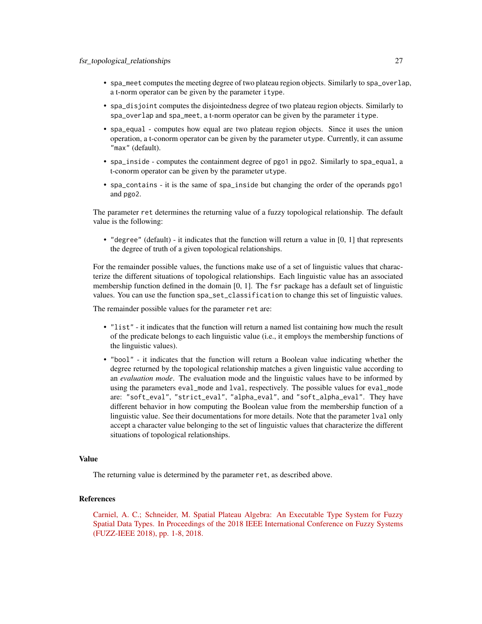- spa\_meet computes the meeting degree of two plateau region objects. Similarly to spa\_overlap, a t-norm operator can be given by the parameter itype.
- spa\_disjoint computes the disjointedness degree of two plateau region objects. Similarly to spa\_overlap and spa\_meet, a t-norm operator can be given by the parameter itype.
- spa\_equal computes how equal are two plateau region objects. Since it uses the union operation, a t-conorm operator can be given by the parameter utype. Currently, it can assume "max" (default).
- spa\_inside computes the containment degree of pgo1 in pgo2. Similarly to spa\_equal, a t-conorm operator can be given by the parameter utype.
- spa\_contains it is the same of spa\_inside but changing the order of the operands pgo1 and pgo2.

The parameter ret determines the returning value of a fuzzy topological relationship. The default value is the following:

• "degree" (default) - it indicates that the function will return a value in [0, 1] that represents the degree of truth of a given topological relationships.

For the remainder possible values, the functions make use of a set of linguistic values that characterize the different situations of topological relationships. Each linguistic value has an associated membership function defined in the domain [0, 1]. The fsr package has a default set of linguistic values. You can use the function spa\_set\_classification to change this set of linguistic values.

The remainder possible values for the parameter ret are:

- "list" it indicates that the function will return a named list containing how much the result of the predicate belongs to each linguistic value (i.e., it employs the membership functions of the linguistic values).
- "bool" it indicates that the function will return a Boolean value indicating whether the degree returned by the topological relationship matches a given linguistic value according to an *evaluation mode*. The evaluation mode and the linguistic values have to be informed by using the parameters eval\_mode and lval, respectively. The possible values for eval\_mode are: "soft\_eval", "strict\_eval", "alpha\_eval", and "soft\_alpha\_eval". They have different behavior in how computing the Boolean value from the membership function of a linguistic value. See their documentations for more details. Note that the parameter lval only accept a character value belonging to the set of linguistic values that characterize the different situations of topological relationships.

### Value

The returning value is determined by the parameter ret, as described above.

# References

[Carniel, A. C.; Schneider, M. Spatial Plateau Algebra: An Executable Type System for Fuzzy](https://ieeexplore.ieee.org/document/8491565) [Spatial Data Types. In Proceedings of the 2018 IEEE International Conference on Fuzzy Systems](https://ieeexplore.ieee.org/document/8491565) [\(FUZZ-IEEE 2018\), pp. 1-8, 2018.](https://ieeexplore.ieee.org/document/8491565)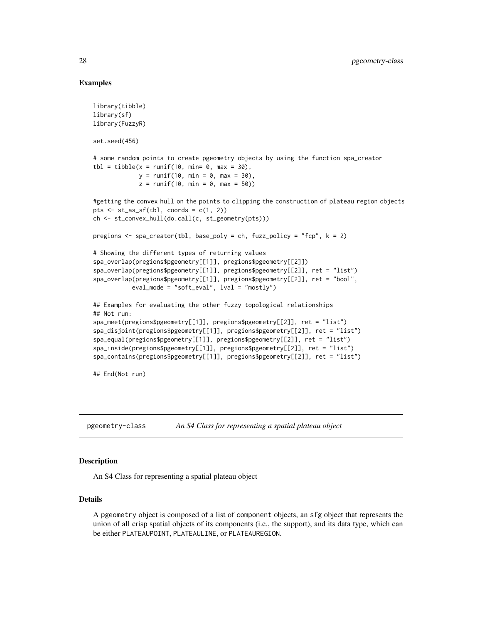# Examples

```
library(tibble)
library(sf)
library(FuzzyR)
set.seed(456)
# some random points to create pgeometry objects by using the function spa_creator
tb1 = tibble(x = runif(10, min= 0, max = 30),y = runif(10, min = 0, max = 30),
             z = runif(10, min = 0, max = 50)#getting the convex hull on the points to clipping the construction of plateau region objects
pts \le st_as_sf(tbl, coords = c(1, 2))
ch <- st_convex_hull(do.call(c, st_geometry(pts)))
pregions <- spa_creator(tbl, base_poly = ch, fuzz_policy = "fcp", k = 2)
# Showing the different types of returning values
spa_overlap(pregions$pgeometry[[1]], pregions$pgeometry[[2]])
spa_overlap(pregions$pgeometry[[1]], pregions$pgeometry[[2]], ret = "list")
spa_overlap(pregions$pgeometry[[1]], pregions$pgeometry[[2]], ret = "bool",
           eval_mode = "soft_eval", lval = "mostly")
## Examples for evaluating the other fuzzy topological relationships
## Not run:
spa_meet(pregions$pgeometry[[1]], pregions$pgeometry[[2]], ret = "list")
spa_disjoint(pregions$pgeometry[[1]], pregions$pgeometry[[2]], ret = "list")
spa_equal(pregions$pgeometry[[1]], pregions$pgeometry[[2]], ret = "list")
spa_inside(pregions$pgeometry[[1]], pregions$pgeometry[[2]], ret = "list")
spa_contains(pregions$pgeometry[[1]], pregions$pgeometry[[2]], ret = "list")
## End(Not run)
```
pgeometry-class *An S4 Class for representing a spatial plateau object*

# Description

An S4 Class for representing a spatial plateau object

### Details

A pgeometry object is composed of a list of component objects, an sfg object that represents the union of all crisp spatial objects of its components (i.e., the support), and its data type, which can be either PLATEAUPOINT, PLATEAULINE, or PLATEAUREGION.

<span id="page-27-0"></span>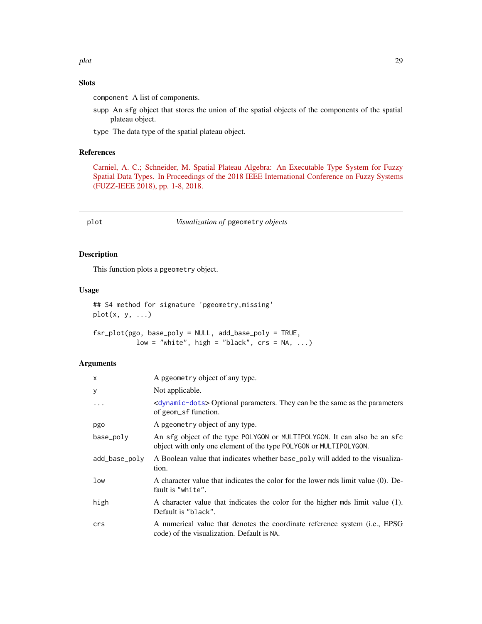# <span id="page-28-0"></span>Slots

component A list of components.

supp An sfg object that stores the union of the spatial objects of the components of the spatial plateau object.

type The data type of the spatial plateau object.

# References

[Carniel, A. C.; Schneider, M. Spatial Plateau Algebra: An Executable Type System for Fuzzy](https://ieeexplore.ieee.org/document/8491565) [Spatial Data Types. In Proceedings of the 2018 IEEE International Conference on Fuzzy Systems](https://ieeexplore.ieee.org/document/8491565) [\(FUZZ-IEEE 2018\), pp. 1-8, 2018.](https://ieeexplore.ieee.org/document/8491565)

### plot *Visualization of* pgeometry *objects*

# Description

This function plots a pgeometry object.

# Usage

```
## S4 method for signature 'pgeometry,missing'
plot(x, y, ...)
```

| fsr_plot(pgo, base_poly = NULL, add_base_poly = TRUE, |  |                                              |  |  |
|-------------------------------------------------------|--|----------------------------------------------|--|--|
|                                                       |  | $low = "white", high = "black", crs = NA, )$ |  |  |

# Arguments

| X             | A pgeometry object of any type.                                                                                                               |
|---------------|-----------------------------------------------------------------------------------------------------------------------------------------------|
| y             | Not applicable.                                                                                                                               |
|               | <dynamic-dots> Optional parameters. They can be the same as the parameters<br/>of geom_sf function.</dynamic-dots>                            |
| pgo           | A pgeometry object of any type.                                                                                                               |
| base_poly     | An sfg object of the type POLYGON or MULTIPOLYGON. It can also be an sfc<br>object with only one element of the type POLYGON or MULTIPOLYGON. |
| add_base_poly | A Boolean value that indicates whether base_poly will added to the visualiza-<br>tion.                                                        |
| low           | A character value that indicates the color for the lower mds limit value (0). De-<br>fault is "white".                                        |
| high          | A character value that indicates the color for the higher mds limit value (1).<br>Default is "black".                                         |
| crs           | A numerical value that denotes the coordinate reference system (i.e., EPSG<br>code) of the visualization. Default is NA.                      |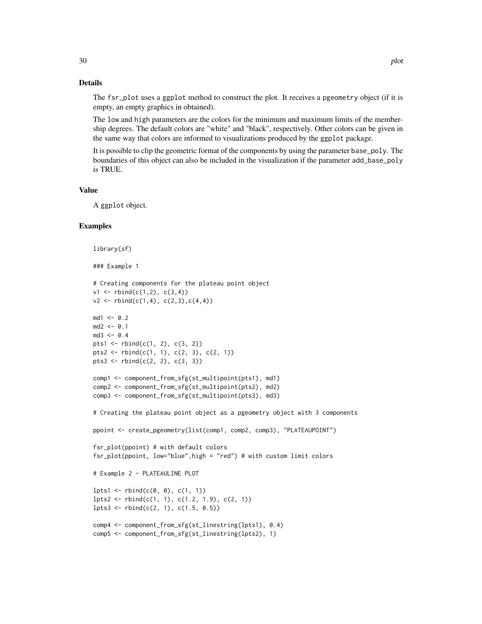# Details

The fsr\_plot uses a ggplot method to construct the plot. It receives a pgeometry object (if it is empty, an empty graphics in obtained).

The low and high parameters are the colors for the minimum and maximum limits of the membership degrees. The default colors are "white" and "black", respectively. Other colors can be given in the same way that colors are informed to visualizations produced by the ggplot package.

It is possible to clip the geometric format of the components by using the parameter base\_poly. The boundaries of this object can also be included in the visualization if the parameter add\_base\_poly is TRUE.

# Value

A ggplot object.

```
library(sf)
### Example 1
# Creating components for the plateau point object
v1 \le r \text{bind}(c(1,2), c(3,4))v2 \le r \text{bind}(c(1,4), c(2,3), c(4,4))md1 <- 0.2
md2 < -0.1md3 < -0.4pts1 <- rbind(c(1, 2), c(3, 2))
pts2 <- rbind(c(1, 1), c(2, 3), c(2, 1))
pts3 \leftarrow rbind(c(2, 2), c(3, 3))comp1 <- component_from_sfg(st_multipoint(pts1), md1)
comp2 <- component_from_sfg(st_multipoint(pts2), md2)
comp3 <- component_from_sfg(st_multipoint(pts3), md3)
# Creating the plateau point object as a pgeometry object with 3 components
ppoint <- create_pgeometry(list(comp1, comp2, comp3), "PLATEAUPOINT")
fsr_plot(ppoint) # with default colors
fsr_plot(ppoint, low="blue",high = "red") # with custom limit colors
# Example 2 - PLATEAULINE PLOT
lpts1 \leftarrow rbind(c(0, 0), c(1, 1))lpts2 \leftarrow rbind(c(1, 1), c(1.2, 1.9), c(2, 1))lpts3 \leftarrow \text{rbind}(c(2, 1), c(1.5, 0.5))comp4 <- component_from_sfg(st_linestring(lpts1), 0.4)
comp5 <- component_from_sfg(st_linestring(lpts2), 1)
```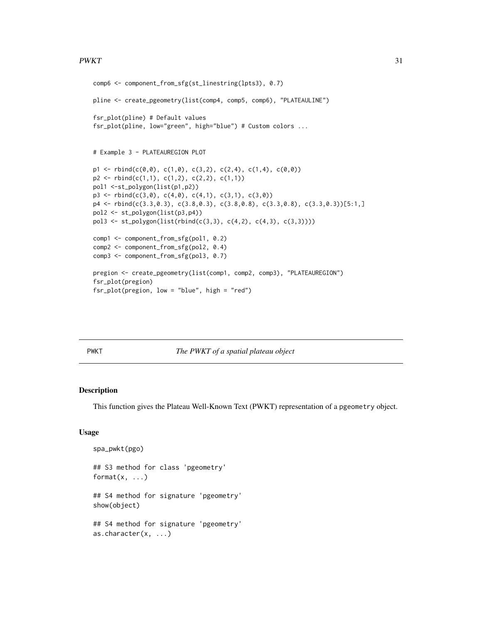### <span id="page-30-0"></span> $PWKT$  31

```
comp6 <- component_from_sfg(st_linestring(lpts3), 0.7)
pline <- create_pgeometry(list(comp4, comp5, comp6), "PLATEAULINE")
fsr_plot(pline) # Default values
fsr_plot(pline, low="green", high="blue") # Custom colors ...
# Example 3 - PLATEAUREGION PLOT
p1 \leq r \text{bind}(c(0,0), c(1,0), c(3,2), c(2,4), c(1,4), c(0,0))p2 \leq -rbind(c(1,1), c(1,2), c(2,2), c(1,1))pol1 <-st_polygon(list(p1,p2))
p3 \leq r \text{bind}(c(3,0), c(4,0), c(4,1), c(3,1), c(3,0))p4 <- rbind(c(3.3,0.3), c(3.8,0.3), c(3.8,0.8), c(3.3,0.8), c(3.3,0.3))[5:1,]
pol2 <- st_polygon(list(p3,p4))
pol3 <- st_polygon(list(rbind(c(3,3), c(4,2), c(4,3), c(3,3))))
comp1 <- component_from_sfg(pol1, 0.2)
comp2 <- component_from_sfg(pol2, 0.4)
comp3 <- component_from_sfg(pol3, 0.7)
pregion <- create_pgeometry(list(comp1, comp2, comp3), "PLATEAUREGION")
fsr_plot(pregion)
fsr_plot(pregion, low = "blue", high = "red")
```
PWKT *The PWKT of a spatial plateau object*

### Description

This function gives the Plateau Well-Known Text (PWKT) representation of a pgeometry object.

# Usage

```
spa_pwkt(pgo)
## S3 method for class 'pgeometry'
format(x, \ldots)## S4 method for signature 'pgeometry'
show(object)
## S4 method for signature 'pgeometry'
as.character(x, ...)
```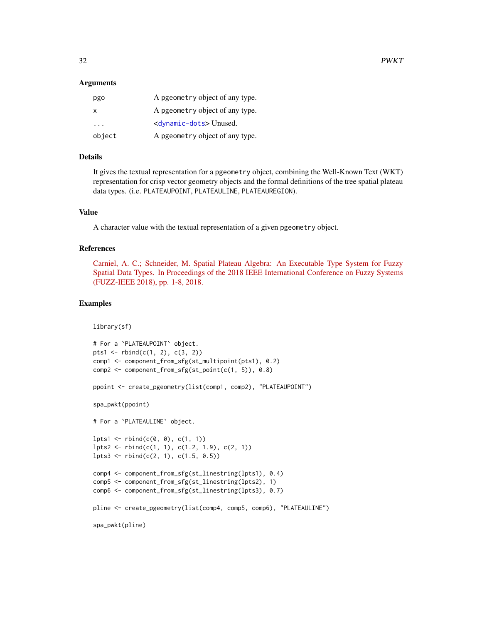### Arguments

| pgo    | A pgeometry object of any type.      |
|--------|--------------------------------------|
| X      | A pgeometry object of any type.      |
| .      | <dynamic-dots>Unused.</dynamic-dots> |
| object | A pgeometry object of any type.      |

# Details

It gives the textual representation for a pgeometry object, combining the Well-Known Text (WKT) representation for crisp vector geometry objects and the formal definitions of the tree spatial plateau data types. (i.e. PLATEAUPOINT, PLATEAULINE, PLATEAUREGION).

## Value

A character value with the textual representation of a given pgeometry object.

### References

[Carniel, A. C.; Schneider, M. Spatial Plateau Algebra: An Executable Type System for Fuzzy](https://ieeexplore.ieee.org/document/8491565) [Spatial Data Types. In Proceedings of the 2018 IEEE International Conference on Fuzzy Systems](https://ieeexplore.ieee.org/document/8491565) [\(FUZZ-IEEE 2018\), pp. 1-8, 2018.](https://ieeexplore.ieee.org/document/8491565)

```
library(sf)
# For a `PLATEAUPOINT` object.
pts1 <- rbind(c(1, 2), c(3, 2))comp1 <- component_from_sfg(st_multipoint(pts1), 0.2)
comp2 < - component_from_sfg(st\_point(c(1, 5)), 0.8)ppoint <- create_pgeometry(list(comp1, comp2), "PLATEAUPOINT")
spa_pwkt(ppoint)
# For a `PLATEAULINE` object.
lpts1 \leftarrow rbind(c(0, 0), c(1, 1))lpts2 \leftarrow \text{rbind}(c(1, 1), c(1.2, 1.9), c(2, 1))lpts3 \leftarrow rbind(c(2, 1), c(1.5, 0.5))comp4 <- component_from_sfg(st_linestring(lpts1), 0.4)
comp5 <- component_from_sfg(st_linestring(lpts2), 1)
comp6 <- component_from_sfg(st_linestring(lpts3), 0.7)
pline <- create_pgeometry(list(comp4, comp5, comp6), "PLATEAULINE")
spa_pwkt(pline)
```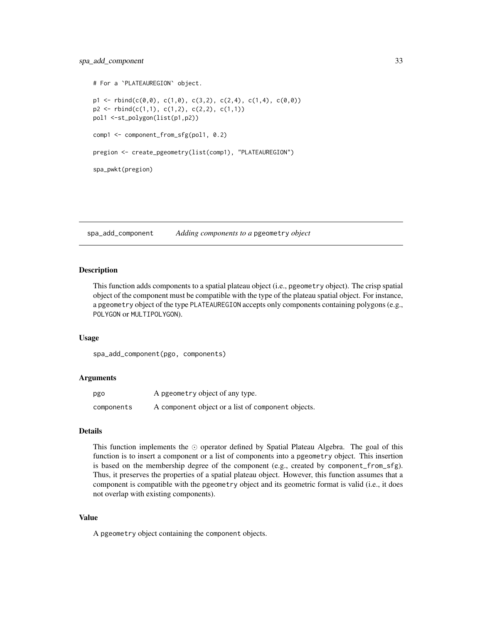```
# For a `PLATEAUREGION` object.
p1 \leq r \text{bind}(c(0,0), c(1,0), c(3,2), c(2,4), c(1,4), c(0,0))p2 \le - \text{rbind}(c(1,1), c(1,2), c(2,2), c(1,1))pol1 <-st_polygon(list(p1,p2))
comp1 <- component_from_sfg(pol1, 0.2)
pregion <- create_pgeometry(list(comp1), "PLATEAUREGION")
spa_pwkt(pregion)
```
spa\_add\_component *Adding components to a* pgeometry *object*

### Description

This function adds components to a spatial plateau object (i.e., pgeometry object). The crisp spatial object of the component must be compatible with the type of the plateau spatial object. For instance, a pgeometry object of the type PLATEAUREGION accepts only components containing polygons (e.g., POLYGON or MULTIPOLYGON).

### Usage

spa\_add\_component(pgo, components)

#### Arguments

| pgo        | A pgeometry object of any type.                    |
|------------|----------------------------------------------------|
| components | A component object or a list of component objects. |

# Details

This function implements the  $\odot$  operator defined by Spatial Plateau Algebra. The goal of this function is to insert a component or a list of components into a pgeometry object. This insertion is based on the membership degree of the component (e.g., created by component\_from\_sfg). Thus, it preserves the properties of a spatial plateau object. However, this function assumes that a component is compatible with the pgeometry object and its geometric format is valid (i.e., it does not overlap with existing components).

#### Value

A pgeometry object containing the component objects.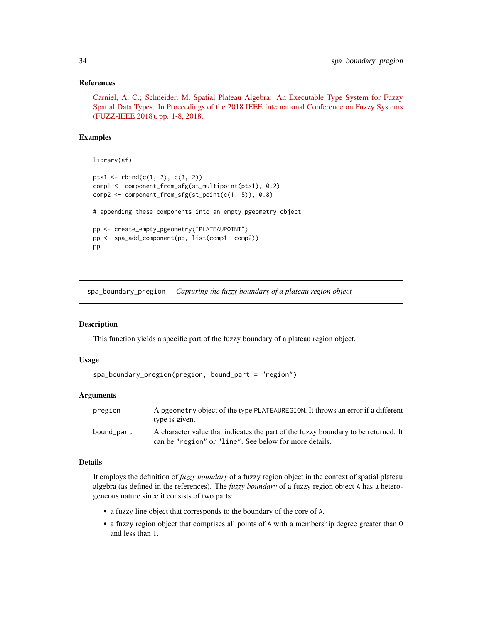### <span id="page-33-0"></span>References

[Carniel, A. C.; Schneider, M. Spatial Plateau Algebra: An Executable Type System for Fuzzy](https://ieeexplore.ieee.org/document/8491565) [Spatial Data Types. In Proceedings of the 2018 IEEE International Conference on Fuzzy Systems](https://ieeexplore.ieee.org/document/8491565) [\(FUZZ-IEEE 2018\), pp. 1-8, 2018.](https://ieeexplore.ieee.org/document/8491565)

### Examples

```
library(sf)
pts1 <- rbind(c(1, 2), c(3, 2))comp1 <- component_from_sfg(st_multipoint(pts1), 0.2)
comp2 <- component_from_sfg(st_point(c(1, 5)), 0.8)
# appending these components into an empty pgeometry object
pp <- create_empty_pgeometry("PLATEAUPOINT")
pp <- spa_add_component(pp, list(comp1, comp2))
pp
```
spa\_boundary\_pregion *Capturing the fuzzy boundary of a plateau region object*

# Description

This function yields a specific part of the fuzzy boundary of a plateau region object.

#### Usage

```
spa_boundary_pregion(pregion, bound_part = "region")
```
### Arguments

| pregion    | A pgeometry object of the type PLATEAUREGION. It throws an error if a different<br>type is given.                                            |
|------------|----------------------------------------------------------------------------------------------------------------------------------------------|
| bound_part | A character value that indicates the part of the fuzzy boundary to be returned. It<br>can be "region" or "line". See below for more details. |

### Details

It employs the definition of *fuzzy boundary* of a fuzzy region object in the context of spatial plateau algebra (as defined in the references). The *fuzzy boundary* of a fuzzy region object A has a heterogeneous nature since it consists of two parts:

- a fuzzy line object that corresponds to the boundary of the core of A.
- a fuzzy region object that comprises all points of A with a membership degree greater than 0 and less than 1.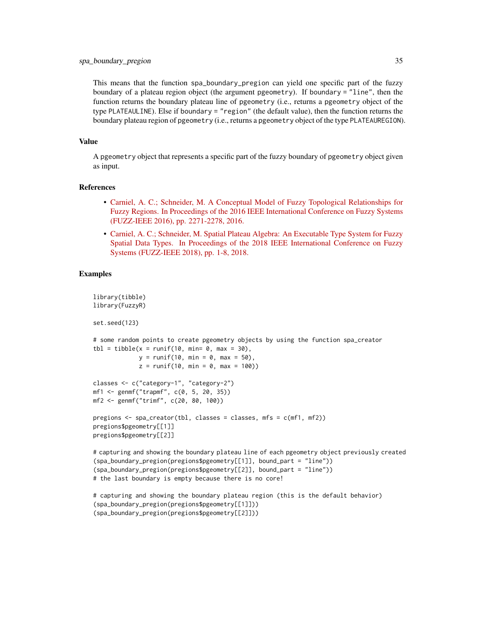This means that the function spa\_boundary\_pregion can yield one specific part of the fuzzy boundary of a plateau region object (the argument pgeometry). If boundary = "line", then the function returns the boundary plateau line of pgeometry (i.e., returns a pgeometry object of the type PLATEAULINE). Else if boundary = "region" (the default value), then the function returns the boundary plateau region of pgeometry (i.e., returns a pgeometry object of the type PLATEAUREGION).

### Value

A pgeometry object that represents a specific part of the fuzzy boundary of pgeometry object given as input.

### References

- [Carniel, A. C.; Schneider, M. A Conceptual Model of Fuzzy Topological Relationships for](https://ieeexplore.ieee.org/document/7737976) [Fuzzy Regions. In Proceedings of the 2016 IEEE International Conference on Fuzzy Systems](https://ieeexplore.ieee.org/document/7737976) [\(FUZZ-IEEE 2016\), pp. 2271-2278, 2016.](https://ieeexplore.ieee.org/document/7737976)
- [Carniel, A. C.; Schneider, M. Spatial Plateau Algebra: An Executable Type System for Fuzzy](https://ieeexplore.ieee.org/document/8491565) [Spatial Data Types. In Proceedings of the 2018 IEEE International Conference on Fuzzy](https://ieeexplore.ieee.org/document/8491565) [Systems \(FUZZ-IEEE 2018\), pp. 1-8, 2018.](https://ieeexplore.ieee.org/document/8491565)

# Examples

```
library(tibble)
library(FuzzyR)
set.seed(123)
# some random points to create pgeometry objects by using the function spa_creator
tb1 = tibble(x = runif(10, min= 0, max = 30),y = runif(10, min = 0, max = 50),
             z = runif(10, min = 0, max = 100)classes <- c("category-1", "category-2")
mf1 <- genmf("trapmf", c(0, 5, 20, 35))
mf2 <- genmf("trimf", c(20, 80, 100))
pregions \leq spa_creator(tbl, classes = classes, mfs = c(mf1, mf2))
pregions$pgeometry[[1]]
pregions$pgeometry[[2]]
# capturing and showing the boundary plateau line of each pgeometry object previously created
(spa_boundary_pregion(pregions$pgeometry[[1]], bound_part = "line"))
(spa_boundary_pregion(pregions$pgeometry[[2]], bound_part = "line"))
```
# the last boundary is empty because there is no core!

```
# capturing and showing the boundary plateau region (this is the default behavior)
(spa_boundary_pregion(pregions$pgeometry[[1]]))
(spa_boundary_pregion(pregions$pgeometry[[2]]))
```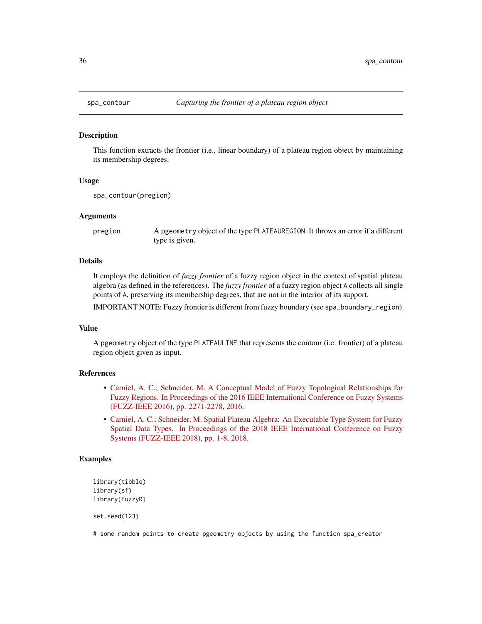<span id="page-35-0"></span>

#### Description

This function extracts the frontier (i.e., linear boundary) of a plateau region object by maintaining its membership degrees.

### Usage

```
spa_contour(pregion)
```
### Arguments

pregion A pgeometry object of the type PLATEAUREGION. It throws an error if a different type is given.

# Details

It employs the definition of *fuzzy frontier* of a fuzzy region object in the context of spatial plateau algebra (as defined in the references). The *fuzzy frontier* of a fuzzy region object A collects all single points of A, preserving its membership degrees, that are not in the interior of its support.

IMPORTANT NOTE: Fuzzy frontier is different from fuzzy boundary (see spa\_boundary\_region).

### Value

A pgeometry object of the type PLATEAULINE that represents the contour (i.e. frontier) of a plateau region object given as input.

# References

- [Carniel, A. C.; Schneider, M. A Conceptual Model of Fuzzy Topological Relationships for](https://ieeexplore.ieee.org/document/7737976) [Fuzzy Regions. In Proceedings of the 2016 IEEE International Conference on Fuzzy Systems](https://ieeexplore.ieee.org/document/7737976) [\(FUZZ-IEEE 2016\), pp. 2271-2278, 2016.](https://ieeexplore.ieee.org/document/7737976)
- [Carniel, A. C.; Schneider, M. Spatial Plateau Algebra: An Executable Type System for Fuzzy](https://ieeexplore.ieee.org/document/8491565) [Spatial Data Types. In Proceedings of the 2018 IEEE International Conference on Fuzzy](https://ieeexplore.ieee.org/document/8491565) [Systems \(FUZZ-IEEE 2018\), pp. 1-8, 2018.](https://ieeexplore.ieee.org/document/8491565)

### Examples

```
library(tibble)
library(sf)
library(FuzzyR)
```
set.seed(123)

# some random points to create pgeometry objects by using the function spa\_creator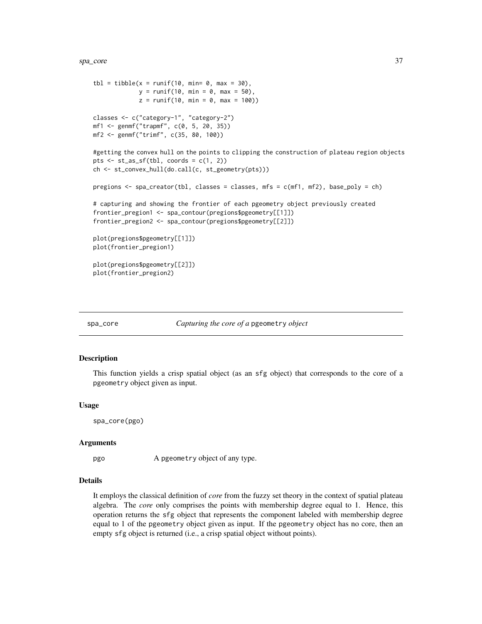<span id="page-36-0"></span>spa\_core 37

```
tbl = tibble(x = runif(10, min= 0, max = 30),
             y = runif(10, min = 0, max = 50),
             z = runif(10, min = 0, max = 100)classes <- c("category-1", "category-2")
mf1 <- genmf("trapmf", c(0, 5, 20, 35))
mf2 <- genmf("trimf", c(35, 80, 100))
#getting the convex hull on the points to clipping the construction of plateau region objects
pts \le st_as_sf(tbl, coords = c(1, 2))
ch <- st_convex_hull(do.call(c, st_geometry(pts)))
pregions <- spa_creator(tbl, classes = classes, mfs = c(mf1, mf2), base_poly = ch)
# capturing and showing the frontier of each pgeometry object previously created
frontier_pregion1 <- spa_contour(pregions$pgeometry[[1]])
frontier_pregion2 <- spa_contour(pregions$pgeometry[[2]])
plot(pregions$pgeometry[[1]])
plot(frontier_pregion1)
plot(pregions$pgeometry[[2]])
plot(frontier_pregion2)
```
spa\_core *Capturing the core of a* pgeometry *object*

### Description

This function yields a crisp spatial object (as an sfg object) that corresponds to the core of a pgeometry object given as input.

#### Usage

spa\_core(pgo)

#### Arguments

pgo A pgeometry object of any type.

# Details

It employs the classical definition of *core* from the fuzzy set theory in the context of spatial plateau algebra. The *core* only comprises the points with membership degree equal to 1. Hence, this operation returns the sfg object that represents the component labeled with membership degree equal to 1 of the pgeometry object given as input. If the pgeometry object has no core, then an empty sfg object is returned (i.e., a crisp spatial object without points).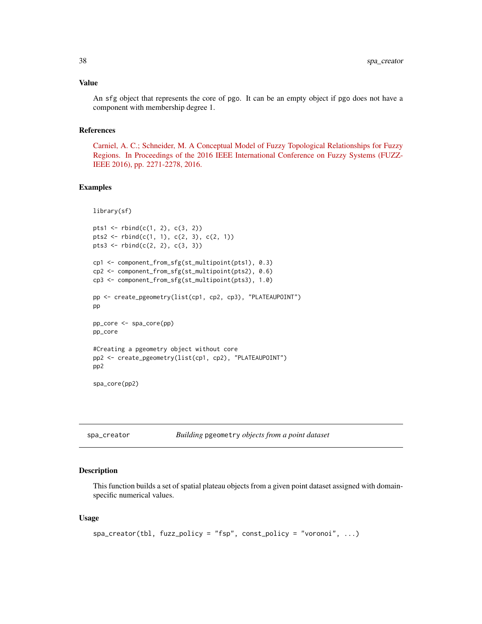### <span id="page-37-0"></span>Value

An sfg object that represents the core of pgo. It can be an empty object if pgo does not have a component with membership degree 1.

# References

[Carniel, A. C.; Schneider, M. A Conceptual Model of Fuzzy Topological Relationships for Fuzzy](https://ieeexplore.ieee.org/document/7737976) [Regions. In Proceedings of the 2016 IEEE International Conference on Fuzzy Systems \(FUZZ-](https://ieeexplore.ieee.org/document/7737976)[IEEE 2016\), pp. 2271-2278, 2016.](https://ieeexplore.ieee.org/document/7737976)

### Examples

```
library(sf)
```

```
pts1 <- rbind(c(1, 2), c(3, 2))pts2 <- rbind(c(1, 1), c(2, 3), c(2, 1))pts3 <- rbind(c(2, 2), c(3, 3))
cp1 <- component_from_sfg(st_multipoint(pts1), 0.3)
cp2 <- component_from_sfg(st_multipoint(pts2), 0.6)
cp3 <- component_from_sfg(st_multipoint(pts3), 1.0)
pp <- create_pgeometry(list(cp1, cp2, cp3), "PLATEAUPOINT")
pp
pp_core <- spa_core(pp)
pp_core
#Creating a pgeometry object without core
pp2 <- create_pgeometry(list(cp1, cp2), "PLATEAUPOINT")
pp2
spa_core(pp2)
```

|  | spa_creator | Ви |
|--|-------------|----|
|--|-------------|----|

#### spa\_creator *Building* pgeometry *objects from a point dataset*

### Description

This function builds a set of spatial plateau objects from a given point dataset assigned with domainspecific numerical values.

### Usage

```
spa\_creation(tbl, fuzzy\_policy = "fsp", const\_policy = "voronoi", ...)
```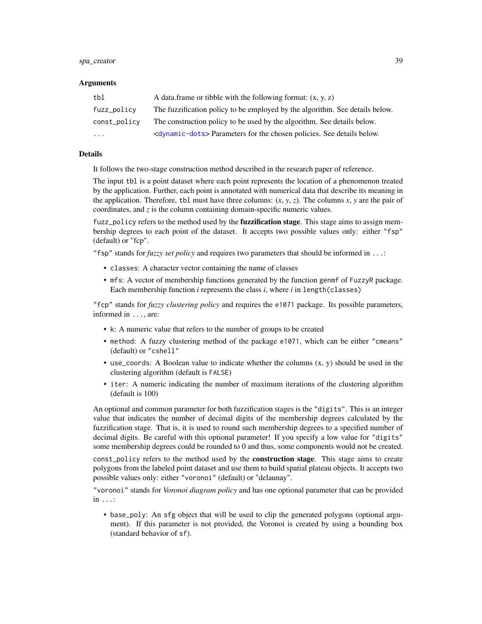### spa\_creator 39

#### Arguments

| tbl          | A data frame or tibble with the following format: $(x, y, z)$                        |
|--------------|--------------------------------------------------------------------------------------|
| fuzz_policy  | The fuzzification policy to be employed by the algorithm. See details below.         |
| const_policy | The construction policy to be used by the algorithm. See details below.              |
| $\ddotsc$    | <dynamic-dots> Parameters for the chosen policies. See details below.</dynamic-dots> |

# Details

It follows the two-stage construction method described in the research paper of reference.

The input tbl is a point dataset where each point represents the location of a phenomenon treated by the application. Further, each point is annotated with numerical data that describe its meaning in the application. Therefore, tbl must have three columns:  $(x, y, z)$ . The columns  $x, y$  are the pair of coordinates, and  $\zeta$  is the column containing domain-specific numeric values.

fuzz\_policy refers to the method used by the **fuzzification stage**. This stage aims to assign membership degrees to each point of the dataset. It accepts two possible values only: either "fsp" (default) or "fcp".

"fsp" stands for *fuzzy set policy* and requires two parameters that should be informed in ...:

- classes: A character vector containing the name of classes
- mfs: A vector of membership functions generated by the function genmf of FuzzyR package. Each membership function *i* represents the class *i*, where *i* in length(classes)

"fcp" stands for *fuzzy clustering policy* and requires the e1071 package. Its possible parameters, informed in ..., are:

- k: A numeric value that refers to the number of groups to be created
- method: A fuzzy clustering method of the package e1071, which can be either "cmeans" (default) or "cshell"
- use\_coords: A Boolean value to indicate whether the columns  $(x, y)$  should be used in the clustering algorithm (default is FALSE)
- iter: A numeric indicating the number of maximum iterations of the clustering algorithm (default is 100)

An optional and common parameter for both fuzzification stages is the "digits". This is an integer value that indicates the number of decimal digits of the membership degrees calculated by the fuzzification stage. That is, it is used to round such membership degrees to a specified number of decimal digits. Be careful with this optional parameter! If you specify a low value for "digits" some membership degrees could be rounded to 0 and thus, some components would not be created.

const\_policy refers to the method used by the **construction stage**. This stage aims to create polygons from the labeled point dataset and use them to build spatial plateau objects. It accepts two possible values only: either "voronoi" (default) or "delaunay".

"voronoi" stands for *Voronoi diagram policy* and has one optional parameter that can be provided in ...:

• base\_poly: An sfg object that will be used to clip the generated polygons (optional argument). If this parameter is not provided, the Voronoi is created by using a bounding box (standard behavior of sf).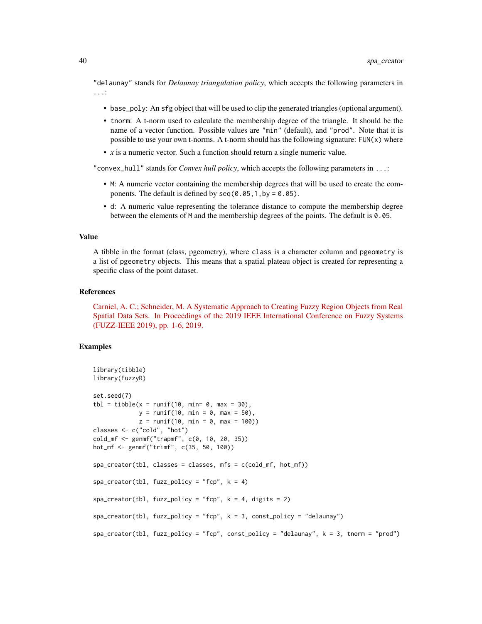"delaunay" stands for *Delaunay triangulation policy*, which accepts the following parameters in ...:

- base\_poly: An sfg object that will be used to clip the generated triangles (optional argument).
- tnorm: A t-norm used to calculate the membership degree of the triangle. It should be the name of a vector function. Possible values are "min" (default), and "prod". Note that it is possible to use your own t-norms. A t-norm should has the following signature:  $FUN(x)$  where
- *x* is a numeric vector. Such a function should return a single numeric value.

"convex\_hull" stands for *Convex hull policy*, which accepts the following parameters in ...:

- M: A numeric vector containing the membership degrees that will be used to create the components. The default is defined by  $seq(0.05, 1, by = 0.05)$ .
- d: A numeric value representing the tolerance distance to compute the membership degree between the elements of M and the membership degrees of the points. The default is 0.05.

#### Value

A tibble in the format (class, pgeometry), where class is a character column and pgeometry is a list of pgeometry objects. This means that a spatial plateau object is created for representing a specific class of the point dataset.

#### References

[Carniel, A. C.; Schneider, M. A Systematic Approach to Creating Fuzzy Region Objects from Real](https://ieeexplore.ieee.org/document/8858878/) [Spatial Data Sets. In Proceedings of the 2019 IEEE International Conference on Fuzzy Systems](https://ieeexplore.ieee.org/document/8858878/) [\(FUZZ-IEEE 2019\), pp. 1-6, 2019.](https://ieeexplore.ieee.org/document/8858878/)

```
library(tibble)
library(FuzzyR)
set.seed(7)
tb1 = tibble(x = runif(10, min= 0, max = 30),y = runif(10, min = 0, max = 50),
             z = runif(10, min = 0, max = 100)classes <- c("cold", "hot")
cold_mf <- genmf("trapmf", c(0, 10, 20, 35))
hot_mf <- genmf("trimf", c(35, 50, 100))
spa_creator(tbl, classes = classes, mfs = c(cold_mf, hot_mf))
spa\_creation(tbl, fuzzy\_policy = "fcp", k = 4)spa\_creation(tbl, fuzzypolicy = "fcp", k = 4, digits = 2)spa_creator(tbl, fuzz_policy = "fcp", k = 3, const_policy = "delaunay")
spa_creator(tbl, fuzz_policy = "fcp", const_policy = "delaunay", k = 3, tnorm = "prod")
```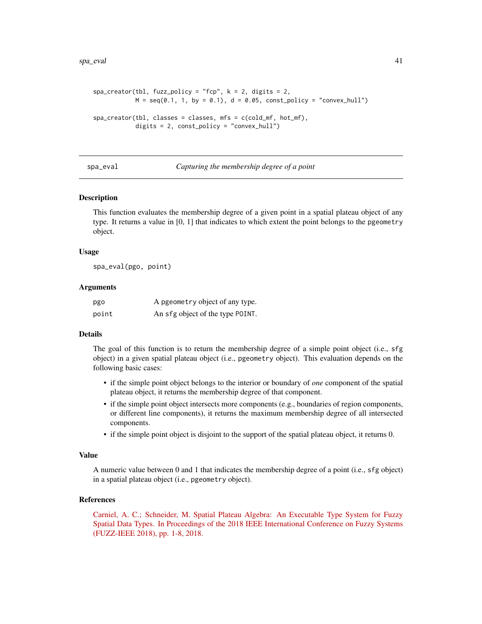```
spa\_creation(tbl, fuzzy\_policy = "fcp", k = 2, digits = 2,M = \text{seq}(0.1, 1, \text{ by } = 0.1), \text{ d} = 0.05, \text{ const\_policy} = \text{"convex\_hull"}spa_creator(tbl, classes = classes, mfs = c(cold_mf, hot_mf),
              digits = 2, const_policy = "convex_hull")
```
spa\_eval *Capturing the membership degree of a point*

### **Description**

This function evaluates the membership degree of a given point in a spatial plateau object of any type. It returns a value in [0, 1] that indicates to which extent the point belongs to the pgeometry object.

### Usage

spa\_eval(pgo, point)

### Arguments

| pgo   | A pgeometry object of any type.  |
|-------|----------------------------------|
| point | An sfg object of the type POINT. |

### Details

The goal of this function is to return the membership degree of a simple point object (i.e., sfg object) in a given spatial plateau object (i.e., pgeometry object). This evaluation depends on the following basic cases:

- if the simple point object belongs to the interior or boundary of *one* component of the spatial plateau object, it returns the membership degree of that component.
- if the simple point object intersects more components (e.g., boundaries of region components, or different line components), it returns the maximum membership degree of all intersected components.
- if the simple point object is disjoint to the support of the spatial plateau object, it returns 0.

#### Value

A numeric value between 0 and 1 that indicates the membership degree of a point (i.e., sfg object) in a spatial plateau object (i.e., pgeometry object).

# References

[Carniel, A. C.; Schneider, M. Spatial Plateau Algebra: An Executable Type System for Fuzzy](https://ieeexplore.ieee.org/document/8491565) [Spatial Data Types. In Proceedings of the 2018 IEEE International Conference on Fuzzy Systems](https://ieeexplore.ieee.org/document/8491565) [\(FUZZ-IEEE 2018\), pp. 1-8, 2018.](https://ieeexplore.ieee.org/document/8491565)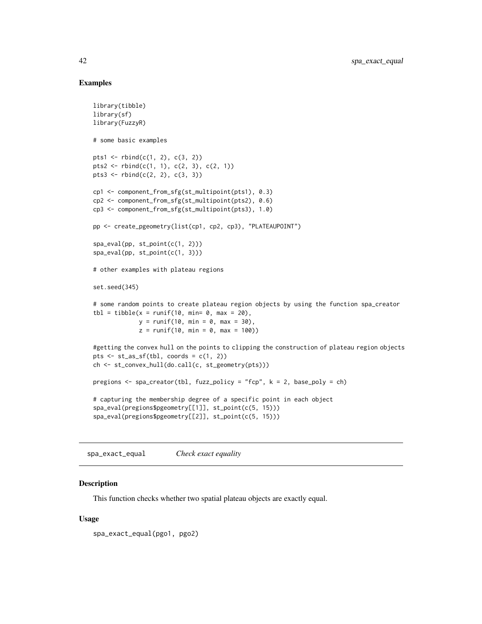# Examples

```
library(tibble)
library(sf)
library(FuzzyR)
# some basic examples
pts1 <- rbind(c(1, 2), c(3, 2))pts2 <- rbind(c(1, 1), c(2, 3), c(2, 1))pts3 \leftarrow rbind(c(2, 2), c(3, 3))cp1 <- component_from_sfg(st_multipoint(pts1), 0.3)
cp2 <- component_from_sfg(st_multipoint(pts2), 0.6)
cp3 <- component_from_sfg(st_multipoint(pts3), 1.0)
pp <- create_pgeometry(list(cp1, cp2, cp3), "PLATEAUPOINT")
spa_eval(pp, st_point(c(1, 2)))
spa_eval(pp, st_point(c(1, 3)))
# other examples with plateau regions
set.seed(345)
# some random points to create plateau region objects by using the function spa_creator
tbl = tibble(x = runif(10, min= 0, max = 20),
             y = runif(10, min = 0, max = 30),
             z = runif(10, min = 0, max = 100)#getting the convex hull on the points to clipping the construction of plateau region objects
pts \le st_as_sf(tbl, coords = c(1, 2))
ch <- st_convex_hull(do.call(c, st_geometry(pts)))
pregions <- spa_creator(tbl, fuzz_policy = "fcp", k = 2, base_poly = ch)
# capturing the membership degree of a specific point in each object
spa_eval(pregions$pgeometry[[1]], st_point(c(5, 15)))
spa_eval(pregions$pgeometry[[2]], st_point(c(5, 15)))
```
spa\_exact\_equal *Check exact equality*

### Description

This function checks whether two spatial plateau objects are exactly equal.

### Usage

spa\_exact\_equal(pgo1, pgo2)

<span id="page-41-0"></span>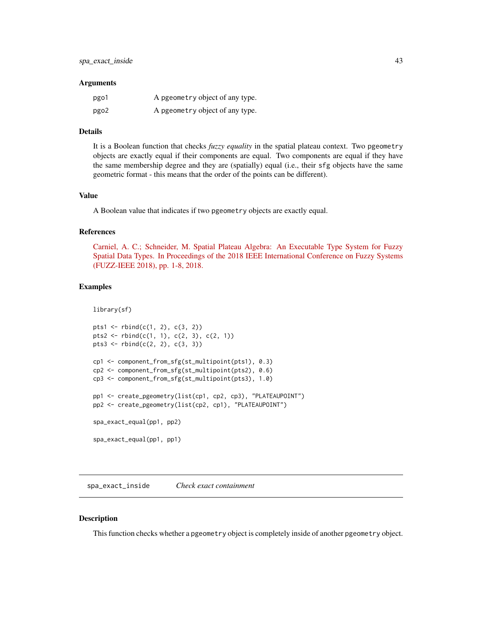#### <span id="page-42-0"></span>**Arguments**

| pgo1 | A pgeometry object of any type. |
|------|---------------------------------|
| pgo2 | A pgeometry object of any type. |

# Details

It is a Boolean function that checks *fuzzy equality* in the spatial plateau context. Two pgeometry objects are exactly equal if their components are equal. Two components are equal if they have the same membership degree and they are (spatially) equal (i.e., their sfg objects have the same geometric format - this means that the order of the points can be different).

# Value

A Boolean value that indicates if two pgeometry objects are exactly equal.

### References

[Carniel, A. C.; Schneider, M. Spatial Plateau Algebra: An Executable Type System for Fuzzy](https://ieeexplore.ieee.org/document/8491565) [Spatial Data Types. In Proceedings of the 2018 IEEE International Conference on Fuzzy Systems](https://ieeexplore.ieee.org/document/8491565) [\(FUZZ-IEEE 2018\), pp. 1-8, 2018.](https://ieeexplore.ieee.org/document/8491565)

### Examples

```
library(sf)
pts1 <- rbind(c(1, 2), c(3, 2))pts2 <- rbind(c(1, 1), c(2, 3), c(2, 1))
pts3 \leftarrow \text{rbind}(c(2, 2), c(3, 3))cp1 <- component_from_sfg(st_multipoint(pts1), 0.3)
cp2 <- component_from_sfg(st_multipoint(pts2), 0.6)
cp3 <- component_from_sfg(st_multipoint(pts3), 1.0)
pp1 <- create_pgeometry(list(cp1, cp2, cp3), "PLATEAUPOINT")
pp2 <- create_pgeometry(list(cp2, cp1), "PLATEAUPOINT")
spa_exact_equal(pp1, pp2)
spa_exact_equal(pp1, pp1)
```
spa\_exact\_inside *Check exact containment*

# **Description**

This function checks whether a pgeometry object is completely inside of another pgeometry object.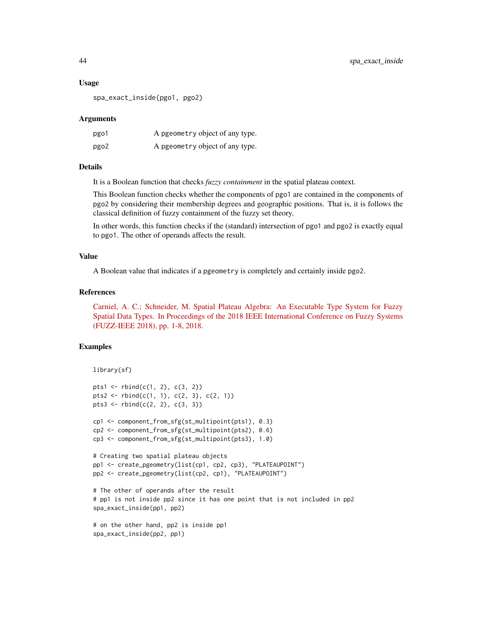### Usage

spa\_exact\_inside(pgo1, pgo2)

### Arguments

| pgo1 | A pgeometry object of any type. |
|------|---------------------------------|
| pgo2 | A pgeometry object of any type. |

### Details

It is a Boolean function that checks *fuzzy containment* in the spatial plateau context.

This Boolean function checks whether the components of pgo1 are contained in the components of pgo2 by considering their membership degrees and geographic positions. That is, it is follows the classical definition of fuzzy containment of the fuzzy set theory.

In other words, this function checks if the (standard) intersection of pgo1 and pgo2 is exactly equal to pgo1. The other of operands affects the result.

# Value

A Boolean value that indicates if a pgeometry is completely and certainly inside pgo2.

### References

[Carniel, A. C.; Schneider, M. Spatial Plateau Algebra: An Executable Type System for Fuzzy](https://ieeexplore.ieee.org/document/8491565) [Spatial Data Types. In Proceedings of the 2018 IEEE International Conference on Fuzzy Systems](https://ieeexplore.ieee.org/document/8491565) [\(FUZZ-IEEE 2018\), pp. 1-8, 2018.](https://ieeexplore.ieee.org/document/8491565)

```
library(sf)
pts1 <- rbind(c(1, 2), c(3, 2))
pts2 <- rbind(c(1, 1), c(2, 3), c(2, 1))
pts3 \leftarrow rbind(c(2, 2), c(3, 3))cp1 <- component_from_sfg(st_multipoint(pts1), 0.3)
cp2 <- component_from_sfg(st_multipoint(pts2), 0.6)
cp3 <- component_from_sfg(st_multipoint(pts3), 1.0)
# Creating two spatial plateau objects
pp1 <- create_pgeometry(list(cp1, cp2, cp3), "PLATEAUPOINT")
pp2 <- create_pgeometry(list(cp2, cp1), "PLATEAUPOINT")
# The other of operands after the result
# pp1 is not inside pp2 since it has one point that is not included in pp2
spa_exact_inside(pp1, pp2)
# on the other hand, pp2 is inside pp1
spa_exact_inside(pp2, pp1)
```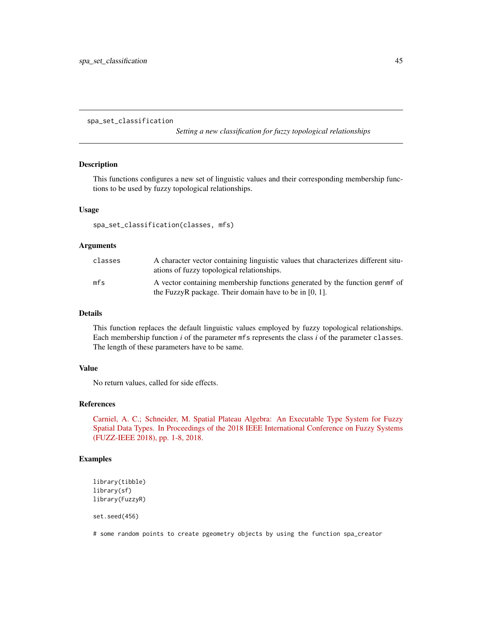<span id="page-44-0"></span>spa\_set\_classification

*Setting a new classification for fuzzy topological relationships*

# **Description**

This functions configures a new set of linguistic values and their corresponding membership functions to be used by fuzzy topological relationships.

#### Usage

spa\_set\_classification(classes, mfs)

### **Arguments**

| classes | A character vector containing linguistic values that characterizes different situ-<br>ations of fuzzy topological relationships. |
|---------|----------------------------------------------------------------------------------------------------------------------------------|
| mfs     | A vector containing membership functions generated by the function genmet of                                                     |
|         | the FuzzyR package. Their domain have to be in $[0, 1]$ .                                                                        |

# Details

This function replaces the default linguistic values employed by fuzzy topological relationships. Each membership function *i* of the parameter mfs represents the class *i* of the parameter classes. The length of these parameters have to be same.

### Value

No return values, called for side effects.

# References

[Carniel, A. C.; Schneider, M. Spatial Plateau Algebra: An Executable Type System for Fuzzy](https://ieeexplore.ieee.org/document/8491565) [Spatial Data Types. In Proceedings of the 2018 IEEE International Conference on Fuzzy Systems](https://ieeexplore.ieee.org/document/8491565) [\(FUZZ-IEEE 2018\), pp. 1-8, 2018.](https://ieeexplore.ieee.org/document/8491565)

### Examples

```
library(tibble)
library(sf)
library(FuzzyR)
```
set.seed(456)

# some random points to create pgeometry objects by using the function spa\_creator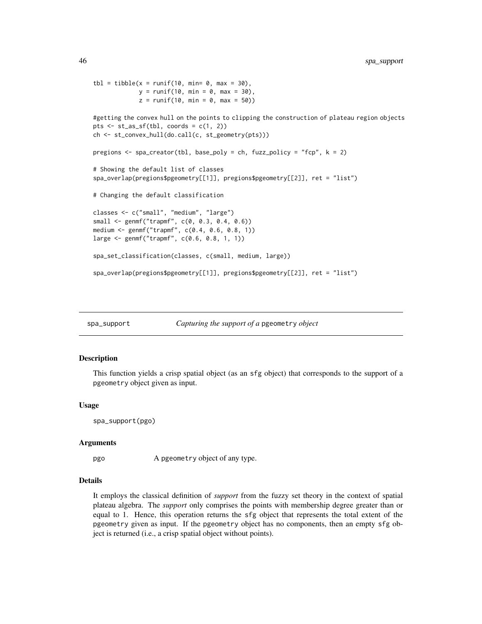```
tb1 = tibble(x = runif(10, min= 0, max = 30),y = runif(10, min = 0, max = 30),
             z = runif(10, min = 0, max = 50))#getting the convex hull on the points to clipping the construction of plateau region objects
pts \le st_as_sf(tbl, coords = c(1, 2))
ch <- st_convex_hull(do.call(c, st_geometry(pts)))
pregions <- spa_creator(tbl, base_poly = ch, fuzz_policy = "fcp", k = 2)
# Showing the default list of classes
spa_overlap(pregions$pgeometry[[1]], pregions$pgeometry[[2]], ret = "list")
# Changing the default classification
classes <- c("small", "medium", "large")
small <- genmf("trapmf", c(0, 0.3, 0.4, 0.6))
medium <- genmf("trapmf", c(0.4, 0.6, 0.8, 1))
large <- genmf("trapmf", c(0.6, 0.8, 1, 1))
spa_set_classification(classes, c(small, medium, large))
spa_overlap(pregions$pgeometry[[1]], pregions$pgeometry[[2]], ret = "list")
```
spa\_support *Capturing the support of a* pgeometry *object*

# Description

This function yields a crisp spatial object (as an sfg object) that corresponds to the support of a pgeometry object given as input.

#### Usage

spa\_support(pgo)

#### Arguments

pgo A pgeometry object of any type.

# Details

It employs the classical definition of *support* from the fuzzy set theory in the context of spatial plateau algebra. The *support* only comprises the points with membership degree greater than or equal to 1. Hence, this operation returns the sfg object that represents the total extent of the pgeometry given as input. If the pgeometry object has no components, then an empty sfg object is returned (i.e., a crisp spatial object without points).

<span id="page-45-0"></span>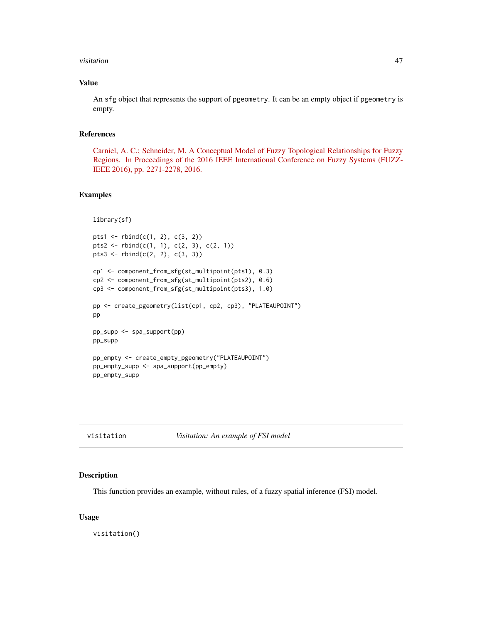### <span id="page-46-0"></span>visitation and the contract of the contract of the contract of the contract of the contract of the contract of the contract of the contract of the contract of the contract of the contract of the contract of the contract of

# Value

An sfg object that represents the support of pgeometry. It can be an empty object if pgeometry is empty.

# References

[Carniel, A. C.; Schneider, M. A Conceptual Model of Fuzzy Topological Relationships for Fuzzy](https://ieeexplore.ieee.org/document/7737976) [Regions. In Proceedings of the 2016 IEEE International Conference on Fuzzy Systems \(FUZZ-](https://ieeexplore.ieee.org/document/7737976)[IEEE 2016\), pp. 2271-2278, 2016.](https://ieeexplore.ieee.org/document/7737976)

# Examples

```
library(sf)
pts1 <- rbind(c(1, 2), c(3, 2))pts2 <- rbind(c(1, 1), c(2, 3), c(2, 1))
pts3 <- rbind(c(2, 2), c(3, 3))
cp1 <- component_from_sfg(st_multipoint(pts1), 0.3)
cp2 <- component_from_sfg(st_multipoint(pts2), 0.6)
cp3 <- component_from_sfg(st_multipoint(pts3), 1.0)
pp <- create_pgeometry(list(cp1, cp2, cp3), "PLATEAUPOINT")
pp
pp_supp <- spa_support(pp)
pp_supp
pp_empty <- create_empty_pgeometry("PLATEAUPOINT")
pp_empty_supp <- spa_support(pp_empty)
pp_empty_supp
```
### Description

This function provides an example, without rules, of a fuzzy spatial inference (FSI) model.

#### Usage

visitation()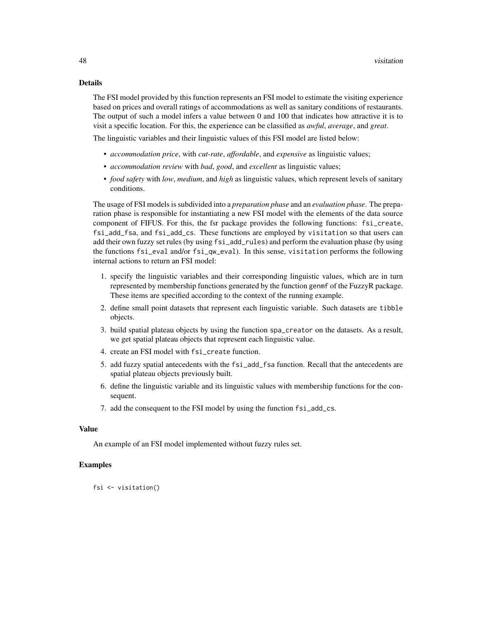### Details

The FSI model provided by this function represents an FSI model to estimate the visiting experience based on prices and overall ratings of accommodations as well as sanitary conditions of restaurants. The output of such a model infers a value between 0 and 100 that indicates how attractive it is to visit a specific location. For this, the experience can be classified as *awful*, *average*, and *great*.

The linguistic variables and their linguistic values of this FSI model are listed below:

- *accommodation price*, with *cut-rate*, *affordable*, and *expensive* as linguistic values;
- *accommodation review* with *bad*, *good*, and *excellent* as linguistic values;
- *food safety* with *low*, *medium*, and *high* as linguistic values, which represent levels of sanitary conditions.

The usage of FSI models is subdivided into a *preparation phase* and an *evaluation phase*. The preparation phase is responsible for instantiating a new FSI model with the elements of the data source component of FIFUS. For this, the fsr package provides the following functions: fsi\_create, fsi\_add\_fsa, and fsi\_add\_cs. These functions are employed by visitation so that users can add their own fuzzy set rules (by using fsi\_add\_rules) and perform the evaluation phase (by using the functions fsi\_eval and/or fsi\_qw\_eval). In this sense, visitation performs the following internal actions to return an FSI model:

- 1. specify the linguistic variables and their corresponding linguistic values, which are in turn represented by membership functions generated by the function genmf of the FuzzyR package. These items are specified according to the context of the running example.
- 2. define small point datasets that represent each linguistic variable. Such datasets are tibble objects.
- 3. build spatial plateau objects by using the function spa\_creator on the datasets. As a result, we get spatial plateau objects that represent each linguistic value.
- 4. create an FSI model with fsi\_create function.
- 5. add fuzzy spatial antecedents with the fsi\_add\_fsa function. Recall that the antecedents are spatial plateau objects previously built.
- 6. define the linguistic variable and its linguistic values with membership functions for the consequent.
- 7. add the consequent to the FSI model by using the function fsi\_add\_cs.

# Value

An example of an FSI model implemented without fuzzy rules set.

### Examples

fsi <- visitation()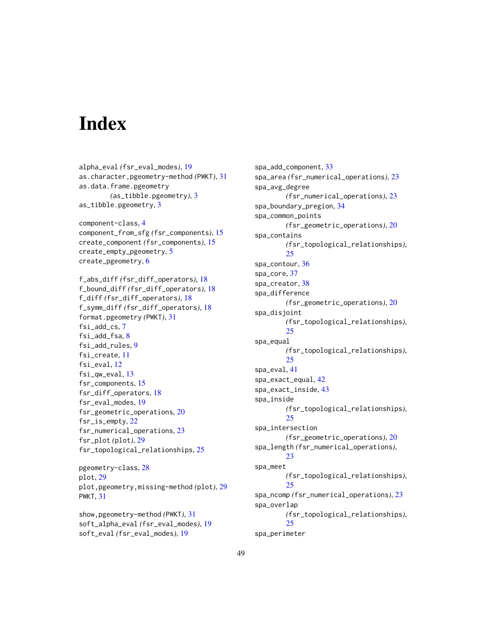# <span id="page-48-0"></span>**Index**

alpha\_eval *(*fsr\_eval\_modes*)*, [19](#page-18-0) as.character,pgeometry-method *(*PWKT*)*, [31](#page-30-0) as.data.frame.pgeometry *(*as\_tibble.pgeometry*)*, [3](#page-2-0) as\_tibble.pgeometry, [3](#page-2-0) component-class, [4](#page-3-0) component\_from\_sfg *(*fsr\_components*)*, [15](#page-14-0) create\_component *(*fsr\_components*)*, [15](#page-14-0) create\_empty\_pgeometry, [5](#page-4-0) create\_pgeometry, [6](#page-5-0) f\_abs\_diff *(*fsr\_diff\_operators*)*, [18](#page-17-0) f\_bound\_diff *(*fsr\_diff\_operators*)*, [18](#page-17-0) f\_diff *(*fsr\_diff\_operators*)*, [18](#page-17-0) f\_symm\_diff *(*fsr\_diff\_operators*)*, [18](#page-17-0) format.pgeometry *(*PWKT*)*, [31](#page-30-0) fsi\_add\_cs, [7](#page-6-0) fsi\_add\_fsa, [8](#page-7-0) fsi\_add\_rules, [9](#page-8-0) fsi\_create, [11](#page-10-0) fsi\_eval, [12](#page-11-0) fsi\_qw\_eval, [13](#page-12-0) fsr\_components, [15](#page-14-0) fsr\_diff\_operators, [18](#page-17-0) fsr\_eval\_modes, [19](#page-18-0) fsr\_geometric\_operations, [20](#page-19-0) fsr\_is\_empty, [22](#page-21-0) fsr\_numerical\_operations, [23](#page-22-0) fsr\_plot *(*plot*)*, [29](#page-28-0) fsr\_topological\_relationships, [25](#page-24-0)

pgeometry-class, [28](#page-27-0) plot, [29](#page-28-0) plot,pgeometry,missing-method *(*plot*)*, [29](#page-28-0) PWKT, [31](#page-30-0)

show,pgeometry-method *(*PWKT*)*, [31](#page-30-0) soft\_alpha\_eval *(*fsr\_eval\_modes*)*, [19](#page-18-0) soft\_eval *(*fsr\_eval\_modes*)*, [19](#page-18-0)

spa\_add\_component, [33](#page-32-0) spa\_area *(*fsr\_numerical\_operations*)*, [23](#page-22-0) spa\_avg\_degree *(*fsr\_numerical\_operations*)*, [23](#page-22-0) spa\_boundary\_pregion, [34](#page-33-0) spa\_common\_points *(*fsr\_geometric\_operations*)*, [20](#page-19-0) spa\_contains *(*fsr\_topological\_relationships*)*, [25](#page-24-0) spa\_contour, [36](#page-35-0) spa\_core, [37](#page-36-0) spa\_creator, [38](#page-37-0) spa\_difference *(*fsr\_geometric\_operations*)*, [20](#page-19-0) spa\_disjoint *(*fsr\_topological\_relationships*)*, [25](#page-24-0) spa\_equal *(*fsr\_topological\_relationships*)*, [25](#page-24-0) spa\_eval, [41](#page-40-0) spa\_exact\_equal, [42](#page-41-0) spa\_exact\_inside, [43](#page-42-0) spa\_inside *(*fsr\_topological\_relationships*)*, [25](#page-24-0) spa\_intersection *(*fsr\_geometric\_operations*)*, [20](#page-19-0) spa\_length *(*fsr\_numerical\_operations*)*, [23](#page-22-0) spa\_meet *(*fsr\_topological\_relationships*)*, [25](#page-24-0) spa\_ncomp *(*fsr\_numerical\_operations*)*, [23](#page-22-0) spa\_overlap *(*fsr\_topological\_relationships*)*, [25](#page-24-0) spa\_perimeter